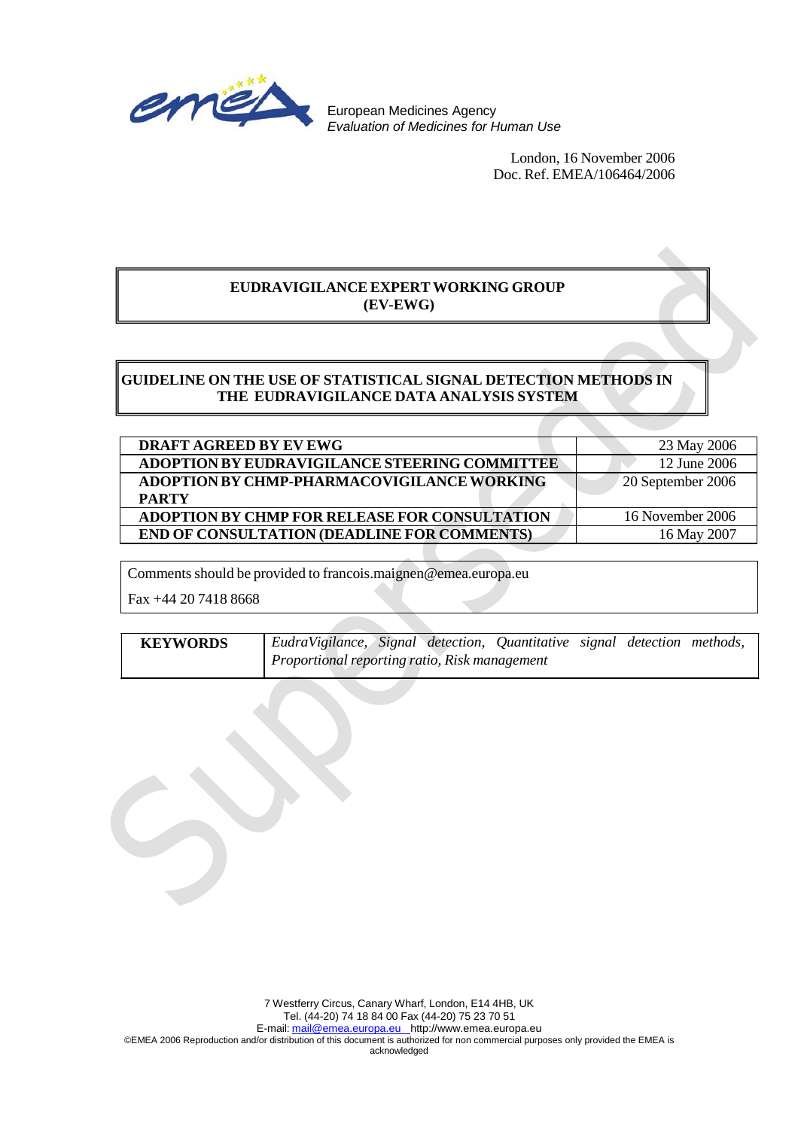

European Medicines Agency *Evaluation of Medicines for Human Use*

> London, 16 November 2006 Doc. Ref. EMEA/106464/2006

# **EUDRAVIGILANCE EXPERT WORKING GROUP (EV-EWG)**

# **GUIDELINE ON THE USE OF STATISTICAL SIGNAL DETECTION METHODS IN THE EUDRAVIGILANCE DATA ANALYSIS SYSTEM**

| <b>DRAFT AGREED BY EV EWG</b>                                     | 23 May 2006       |
|-------------------------------------------------------------------|-------------------|
| ADOPTION BY EUDRAVIGILANCE STEERING COMMITTEE                     | 12 June 2006      |
| <b>ADOPTION BY CHMP-PHARMACOVIGILANCE WORKING</b><br><b>PARTY</b> | 20 September 2006 |
| <b>ADOPTION BY CHMP FOR RELEASE FOR CONSULTATION</b>              | 16 November 2006  |
| <b>END OF CONSULTATION (DEADLINE FOR COMMENTS)</b>                | 16 May 2007       |

Comments should be provided to [francois.maignen@emea.europa.eu](mailto:francois.maignen@emea.europa.eu)

Fax +44 20 7418 8668

| <b>KEYWORDS</b> | EudraVigilance, Signal detection, Quantitative signal detection methods, |  |  |  |
|-----------------|--------------------------------------------------------------------------|--|--|--|
|                 | Proportional reporting ratio, Risk management                            |  |  |  |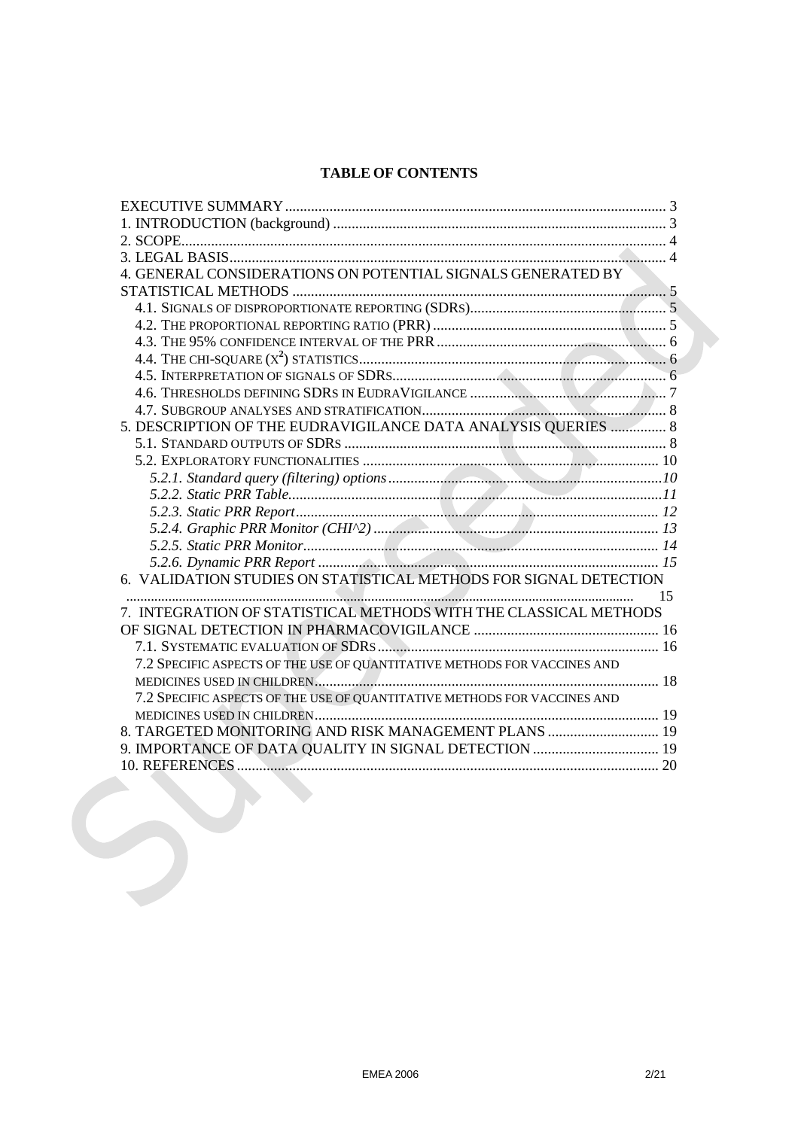# **TABLE OF CONTENTS**

| 4. GENERAL CONSIDERATIONS ON POTENTIAL SIGNALS GENERATED BY              |    |
|--------------------------------------------------------------------------|----|
|                                                                          |    |
|                                                                          |    |
|                                                                          |    |
|                                                                          |    |
|                                                                          |    |
|                                                                          |    |
|                                                                          |    |
|                                                                          |    |
| 5. DESCRIPTION OF THE EUDRAVIGILANCE DATA ANALYSIS QUERIES  8            |    |
|                                                                          |    |
|                                                                          |    |
|                                                                          |    |
|                                                                          |    |
|                                                                          |    |
|                                                                          |    |
|                                                                          |    |
|                                                                          |    |
| 6. VALIDATION STUDIES ON STATISTICAL METHODS FOR SIGNAL DETECTION        |    |
|                                                                          | 15 |
| 7. INTEGRATION OF STATISTICAL METHODS WITH THE CLASSICAL METHODS         |    |
|                                                                          |    |
|                                                                          |    |
| 7.2 SPECIFIC ASPECTS OF THE USE OF QUANTITATIVE METHODS FOR VACCINES AND |    |
|                                                                          |    |
| 7.2 SPECIFIC ASPECTS OF THE USE OF QUANTITATIVE METHODS FOR VACCINES AND |    |
|                                                                          |    |
| 8. TARGETED MONITORING AND RISK MANAGEMENT PLANS  19                     |    |
| 9. IMPORTANCE OF DATA QUALITY IN SIGNAL DETECTION  19                    |    |
|                                                                          |    |
|                                                                          |    |
|                                                                          |    |
|                                                                          |    |
|                                                                          |    |
|                                                                          |    |
|                                                                          |    |
|                                                                          |    |
|                                                                          |    |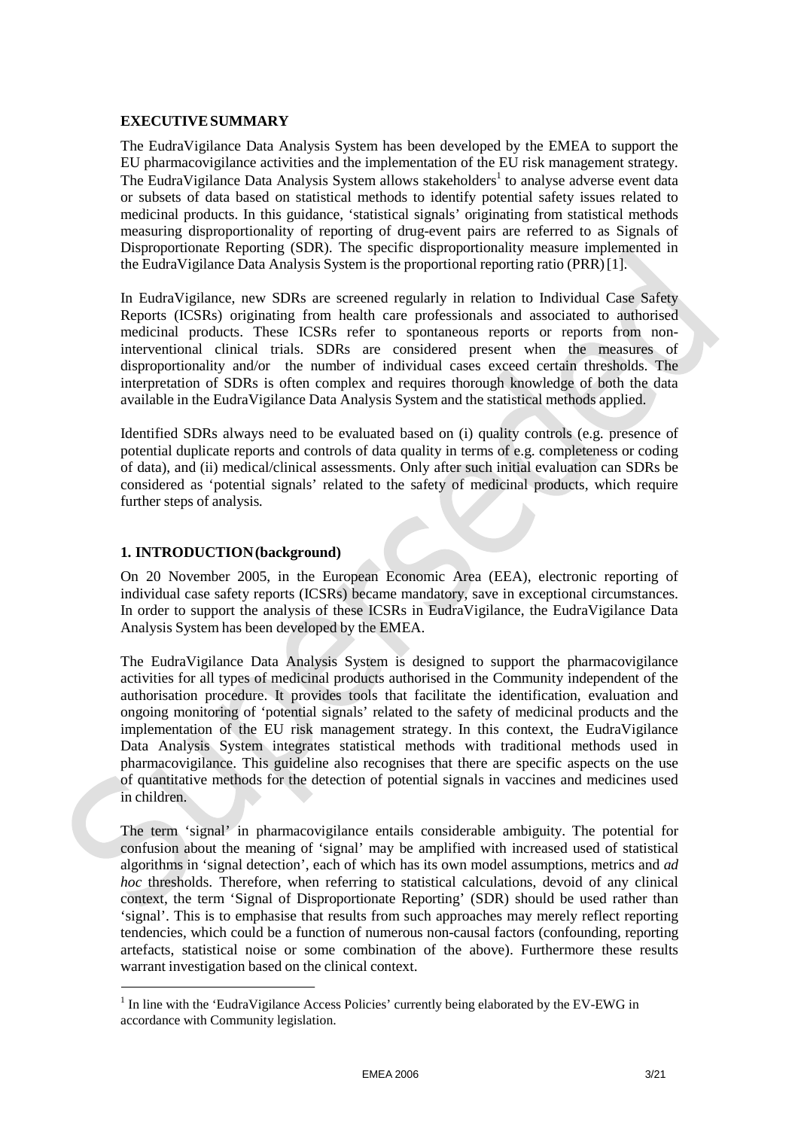#### **EXECUTIVESUMMARY**

The EudraVigilance Data Analysis System has been developed by the EMEA to support the EU pharmacovigilance activities and the implementation of the EU risk management strategy. The EudraVigilance Data Analysis System allows stakeholders<sup>1</sup> to analyse adverse event data or subsets of data based on statistical methods to identify potential safety issues related to medicinal products. In this guidance, 'statistical signals' originating from statistical methods measuring disproportionality of reporting of drug-event pairs are referred to as Signals of Disproportionate Reporting (SDR). The specific disproportionality measure implemented in the EudraVigilance Data Analysis System is the proportional reporting ratio (PRR)[1].

In EudraVigilance, new SDRs are screened regularly in relation to Individual Case Safety Reports (ICSRs) originating from health care professionals and associated to authorised medicinal products. These ICSRs refer to spontaneous reports or reports from noninterventional clinical trials. SDRs are considered present when the measures of disproportionality and/or the number of individual cases exceed certain thresholds. The interpretation of SDRs is often complex and requires thorough knowledge of both the data available in the EudraVigilance Data Analysis System and the statistical methods applied.

Identified SDRs always need to be evaluated based on (i) quality controls (e.g. presence of potential duplicate reports and controls of data quality in terms of e.g. completeness or coding of data), and (ii) medical/clinical assessments. Only after such initial evaluation can SDRs be considered as 'potential signals' related to the safety of medicinal products, which require further steps of analysis*.*

#### **1. INTRODUCTION(background)**

On 20 November 2005, in the European Economic Area (EEA), electronic reporting of individual case safety reports (ICSRs) became mandatory, save in exceptional circumstances. In order to support the analysis of these ICSRs in EudraVigilance, the EudraVigilance Data Analysis System has been developed by the EMEA.

The EudraVigilance Data Analysis System is designed to support the pharmacovigilance activities for all types of medicinal products authorised in the Community independent of the authorisation procedure. It provides tools that facilitate the identification, evaluation and ongoing monitoring of 'potential signals' related to the safety of medicinal products and the implementation of the EU risk management strategy. In this context, the EudraVigilance Data Analysis System integrates statistical methods with traditional methods used in pharmacovigilance. This guideline also recognises that there are specific aspects on the use of quantitative methods for the detection of potential signals in vaccines and medicines used in children.

The term 'signal' in pharmacovigilance entails considerable ambiguity. The potential for confusion about the meaning of 'signal' may be amplified with increased used of statistical algorithms in 'signal detection', each of which has its own model assumptions, metrics and *ad hoc* thresholds. Therefore, when referring to statistical calculations, devoid of any clinical context, the term 'Signal of Disproportionate Reporting' (SDR) should be used rather than 'signal'. This is to emphasise that results from such approaches may merely reflect reporting tendencies, which could be a function of numerous non-causal factors (confounding, reporting artefacts, statistical noise or some combination of the above). Furthermore these results warrant investigation based on the clinical context.

<sup>&</sup>lt;sup>1</sup> In line with the 'EudraVigilance Access Policies' currently being elaborated by the EV-EWG in accordance with Community legislation.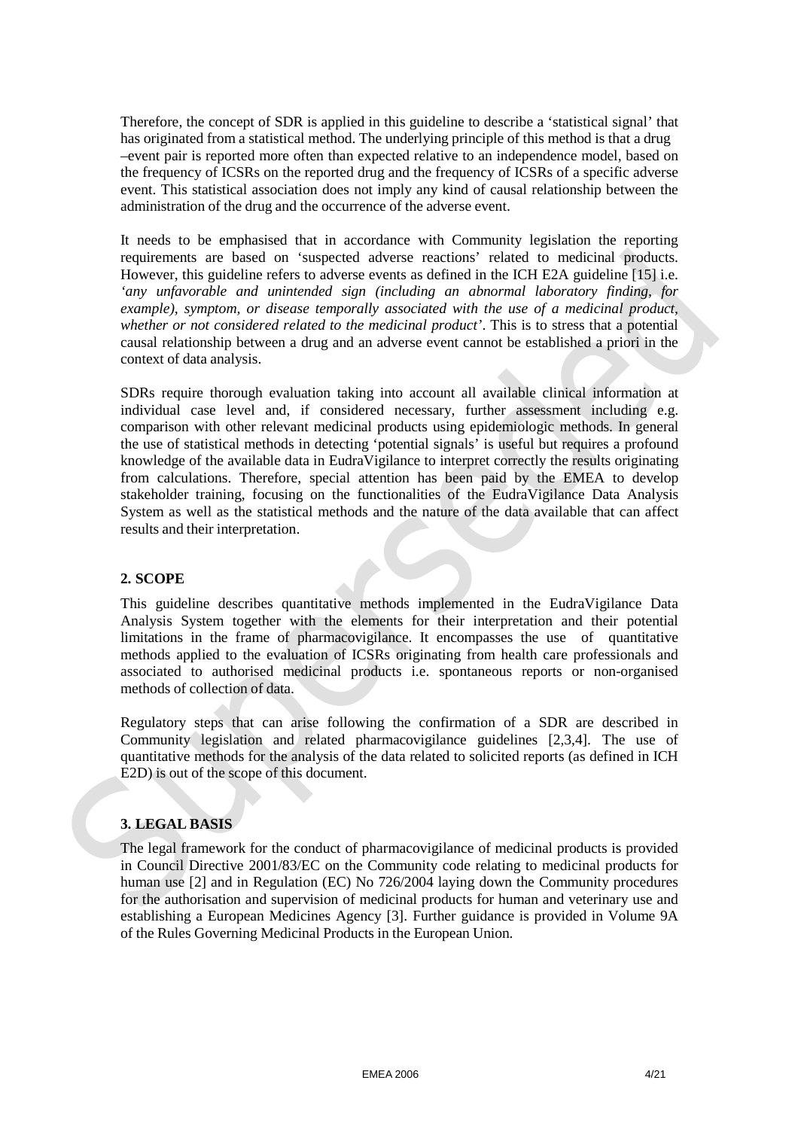Therefore, the concept of SDR is applied in this guideline to describe a 'statistical signal' that has originated from a statistical method. The underlying principle of this method is that a drug –event pair is reported more often than expected relative to an independence model, based on the frequency of ICSRs on the reported drug and the frequency of ICSRs of a specific adverse event. This statistical association does not imply any kind of causal relationship between the administration of the drug and the occurrence of the adverse event.

It needs to be emphasised that in accordance with Community legislation the reporting requirements are based on 'suspected adverse reactions' related to medicinal products. However, this guideline refers to adverse events as defined in the ICH E2A guideline [15] i.e. *'any unfavorable and unintended sign (including an abnormal laboratory finding, for example), symptom, or disease temporally associated with the use of a medicinal product, whether or not considered related to the medicinal product'*. This is to stress that a potential causal relationship between a drug and an adverse event cannot be established a priori in the context of data analysis.

SDRs require thorough evaluation taking into account all available clinical information at individual case level and, if considered necessary, further assessment including e.g. comparison with other relevant medicinal products using epidemiologic methods. In general the use of statistical methods in detecting 'potential signals' is useful but requires a profound knowledge of the available data in EudraVigilance to interpret correctly the results originating from calculations. Therefore, special attention has been paid by the EMEA to develop stakeholder training, focusing on the functionalities of the EudraVigilance Data Analysis System as well as the statistical methods and the nature of the data available that can affect results and their interpretation.

#### **2. SCOPE**

This guideline describes quantitative methods implemented in the EudraVigilance Data Analysis System together with the elements for their interpretation and their potential limitations in the frame of pharmacovigilance. It encompasses the use of quantitative methods applied to the evaluation of ICSRs originating from health care professionals and associated to authorised medicinal products i.e. spontaneous reports or non-organised methods of collection of data.

Regulatory steps that can arise following the confirmation of a SDR are described in Community legislation and related pharmacovigilance guidelines [2,3,4]. The use of quantitative methods for the analysis of the data related to solicited reports (as defined in ICH E2D) is out of the scope of this document.

## **3. LEGAL BASIS**

The legal framework for the conduct of pharmacovigilance of medicinal products is provided in Council Directive 2001/83/EC on the Community code relating to medicinal products for human use [2] and in Regulation (EC) No 726/2004 laying down the Community procedures for the authorisation and supervision of medicinal products for human and veterinary use and establishing a European Medicines Agency [3]. Further guidance is provided in Volume 9A of the Rules Governing Medicinal Products in the European Union.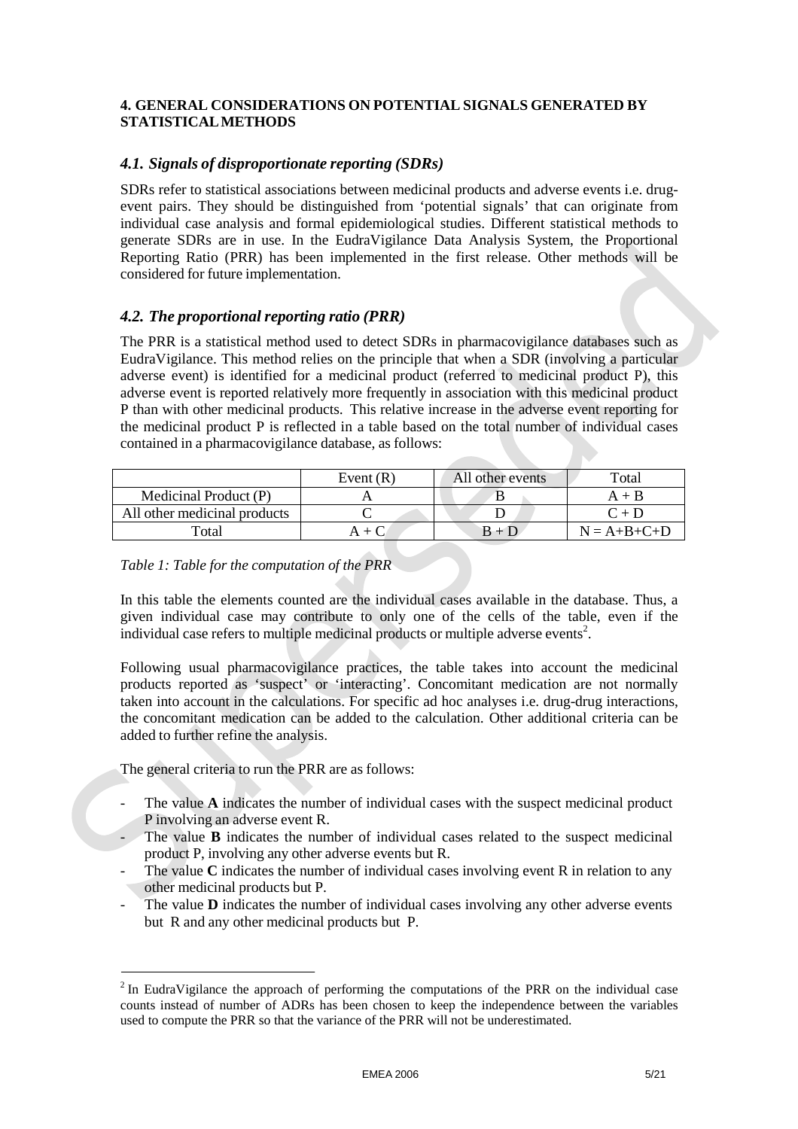#### **4. GENERAL CONSIDERATIONS ON POTENTIAL SIGNALS GENERATED BY STATISTICALMETHODS**

## *4.1. Signals of disproportionate reporting (SDRs)*

SDRs refer to statistical associations between medicinal products and adverse events i.e. drugevent pairs. They should be distinguished from 'potential signals' that can originate from individual case analysis and formal epidemiological studies. Different statistical methods to generate SDRs are in use. In the EudraVigilance Data Analysis System, the Proportional Reporting Ratio (PRR) has been implemented in the first release. Other methods will be considered for future implementation.

## *4.2. The proportional reporting ratio (PRR)*

The PRR is a statistical method used to detect SDRs in pharmacovigilance databases such as EudraVigilance. This method relies on the principle that when a SDR (involving a particular adverse event) is identified for a medicinal product (referred to medicinal product P), this adverse event is reported relatively more frequently in association with this medicinal product P than with other medicinal products. This relative increase in the adverse event reporting for the medicinal product P is reflected in a table based on the total number of individual cases contained in a pharmacovigilance database, as follows:

|                              | Event $(R)$ | All other events | Total                     |
|------------------------------|-------------|------------------|---------------------------|
| Medicinal Product (P)        |             |                  | A + H                     |
| All other medicinal products |             |                  | $\mathrm{C} + \mathrm{D}$ |
| $_{\rm \tau total}$          |             |                  | $N = A+B+C+D$             |

## *Table 1: Table for the computation of the PRR*

In this table the elements counted are the individual cases available in the database. Thus, a given individual case may contribute to only one of the cells of the table, even if the individual case refers to multiple medicinal products or multiple adverse events<sup>2</sup>.

Following usual pharmacovigilance practices, the table takes into account the medicinal products reported as 'suspect' or 'interacting'. Concomitant medication are not normally taken into account in the calculations. For specific ad hoc analyses i.e. drug-drug interactions, the concomitant medication can be added to the calculation. Other additional criteria can be added to further refine the analysis.

The general criteria to run the PRR are as follows:

- The value A indicates the number of individual cases with the suspect medicinal product P involving an adverse event R.
- The value **B** indicates the number of individual cases related to the suspect medicinal product P, involving any other adverse events but R.
- The value **C** indicates the number of individual cases involving event R in relation to any other medicinal products but P.
- The value **D** indicates the number of individual cases involving any other adverse events but R and any other medicinal products but P.

<sup>2</sup> In EudraVigilance the approach of performing the computations of the PRR on the individual case counts instead of number of ADRs has been chosen to keep the independence between the variables used to compute the PRR so that the variance of the PRR will not be underestimated.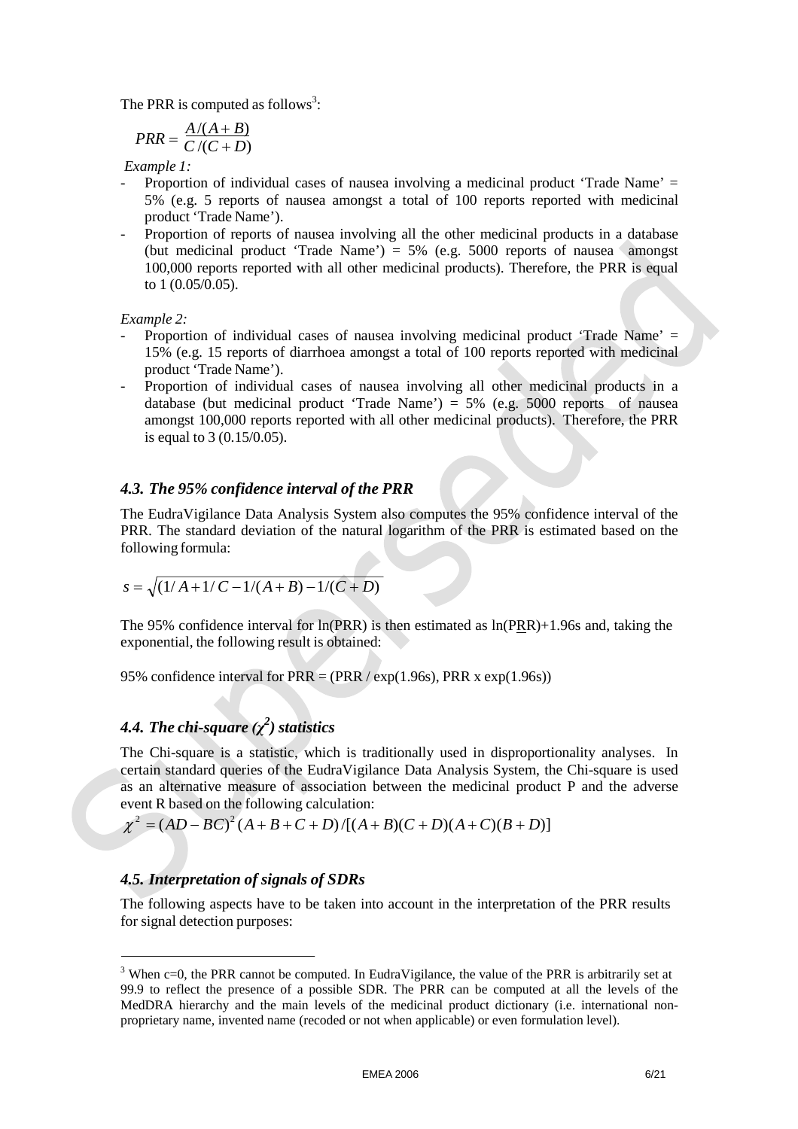The PRR is computed as follows<sup>3</sup>:

$$
PRR = \frac{A/(A+B)}{C/(C+D)}
$$

*Example 1:*

- Proportion of individual cases of nausea involving a medicinal product 'Trade Name' = 5% (e.g. 5 reports of nausea amongst a total of 100 reports reported with medicinal product 'Trade Name').
- Proportion of reports of nausea involving all the other medicinal products in a database (but medicinal product 'Trade Name') =  $5\%$  (e.g. 5000 reports of nausea amongst 100,000 reports reported with all other medicinal products). Therefore, the PRR is equal to 1 (0.05/0.05).

*Example 2:*

- Proportion of individual cases of nausea involving medicinal product 'Trade Name' = 15% (e.g. 15 reports of diarrhoea amongst a total of 100 reports reported with medicinal product 'Trade Name').
- Proportion of individual cases of nausea involving all other medicinal products in a database (but medicinal product 'Trade Name') =  $5\%$  (e.g.  $5000$  reports of nausea amongst 100,000 reports reported with all other medicinal products). Therefore, the PRR is equal to 3 (0.15/0.05).

### *4.3. The 95% confidence interval of the PRR*

The EudraVigilance Data Analysis System also computes the 95% confidence interval of the PRR. The standard deviation of the natural logarithm of the PRR is estimated based on the following formula:

$$
s = \sqrt{(1/A+1/C-1/(A+B)-1/(C+D))}
$$

The 95% confidence interval for ln(PRR) is then estimated as ln(PRR)+1.96s and, taking the exponential, the following result is obtained:

95% confidence interval for PRR = (PRR / exp(1.96s), PRR x exp(1.96s))

# *4.4. The chi-square (χ<sup>2</sup> ) statistics*

The Chi-square is a statistic, which is traditionally used in disproportionality analyses. In certain standard queries of the EudraVigilance Data Analysis System, the Chi-square is used as an alternative measure of association between the medicinal product P and the adverse event R based on the following calculation:

$$
\chi^2 = (AD - BC)^2 (A + B + C + D) / [(A + B)(C + D)(A + C)(B + D)]
$$

## *4.5. Interpretation of signals of SDRs*

The following aspects have to be taken into account in the interpretation of the PRR results for signal detection purposes:

<sup>&</sup>lt;sup>3</sup> When c=0, the PRR cannot be computed. In EudraVigilance, the value of the PRR is arbitrarily set at 99.9 to reflect the presence of a possible SDR. The PRR can be computed at all the levels of the MedDRA hierarchy and the main levels of the medicinal product dictionary (i.e. international nonproprietary name, invented name (recoded or not when applicable) or even formulation level).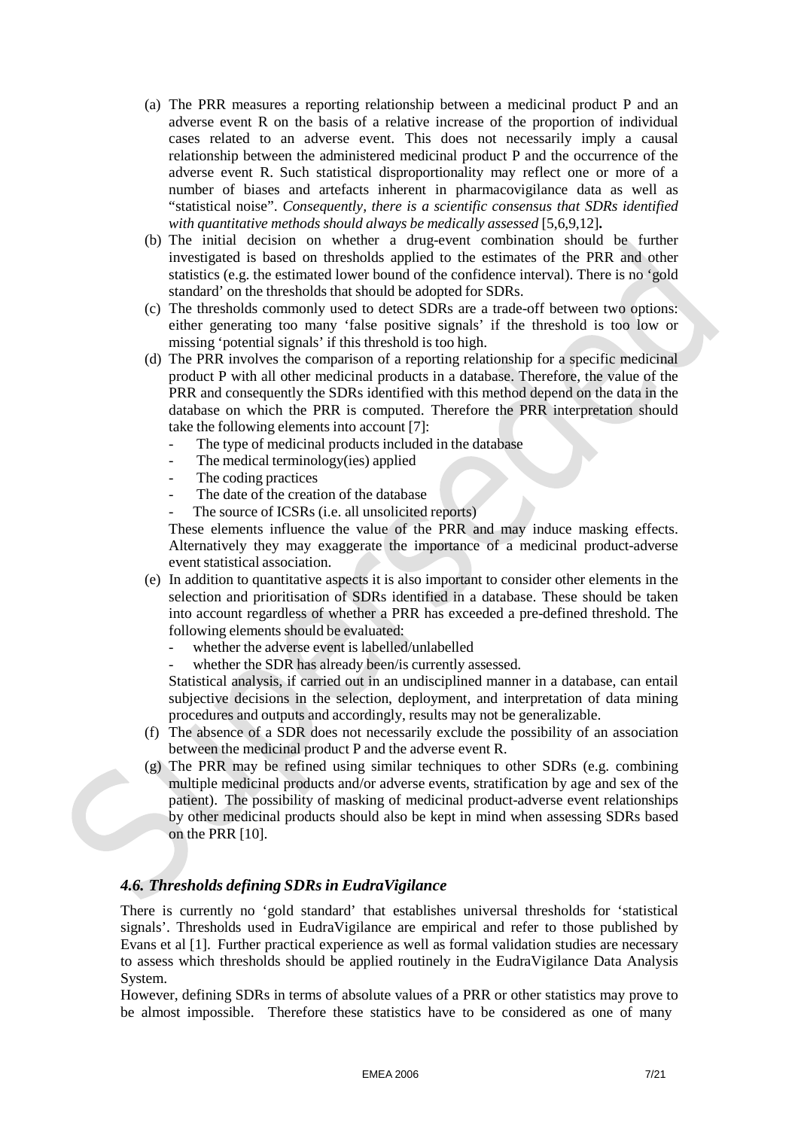- (a) The PRR measures a reporting relationship between a medicinal product P and an adverse event R on the basis of a relative increase of the proportion of individual cases related to an adverse event. This does not necessarily imply a causal relationship between the administered medicinal product P and the occurrence of the adverse event R. Such statistical disproportionality may reflect one or more of a number of biases and artefacts inherent in pharmacovigilance data as well as "statistical noise". *Consequently, there is a scientific consensus that SDRs identified with quantitative methods should always be medically assessed* [5,6,9,12]**.**
- (b) The initial decision on whether a drug-event combination should be further investigated is based on thresholds applied to the estimates of the PRR and other statistics (e.g. the estimated lower bound of the confidence interval). There is no 'gold standard' on the thresholds that should be adopted for SDRs.
- (c) The thresholds commonly used to detect SDRs are a trade-off between two options: either generating too many 'false positive signals' if the threshold is too low or missing 'potential signals' if this threshold is too high.
- (d) The PRR involves the comparison of a reporting relationship for a specific medicinal product P with all other medicinal products in a database. Therefore, the value of the PRR and consequently the SDRs identified with this method depend on the data in the database on which the PRR is computed. Therefore the PRR interpretation should take the following elements into account [7]:
	- The type of medicinal products included in the database
	- The medical terminology(ies) applied
	- The coding practices
	- The date of the creation of the database
	- The source of ICSRs (*i.e. all unsolicited reports*)

These elements influence the value of the PRR and may induce masking effects. Alternatively they may exaggerate the importance of a medicinal product-adverse event statistical association.

- (e) In addition to quantitative aspects it is also important to consider other elements in the selection and prioritisation of SDRs identified in a database. These should be taken into account regardless of whether a PRR has exceeded a pre-defined threshold. The following elements should be evaluated:
	- whether the adverse event is labelled/unlabelled
	- whether the SDR has already been/is currently assessed.

Statistical analysis, if carried out in an undisciplined manner in a database, can entail subjective decisions in the selection, deployment, and interpretation of data mining procedures and outputs and accordingly, results may not be generalizable.

- (f) The absence of a SDR does not necessarily exclude the possibility of an association between the medicinal product P and the adverse event R.
- (g) The PRR may be refined using similar techniques to other SDRs (e.g. combining multiple medicinal products and/or adverse events, stratification by age and sex of the patient). The possibility of masking of medicinal product-adverse event relationships by other medicinal products should also be kept in mind when assessing SDRs based on the PRR [10].

## *4.6. Thresholds defining SDRs in EudraVigilance*

There is currently no 'gold standard' that establishes universal thresholds for 'statistical signals'. Thresholds used in EudraVigilance are empirical and refer to those published by Evans et al [1]. Further practical experience as well as formal validation studies are necessary to assess which thresholds should be applied routinely in the EudraVigilance Data Analysis System.

However, defining SDRs in terms of absolute values of a PRR or other statistics may prove to be almost impossible. Therefore these statistics have to be considered as one of many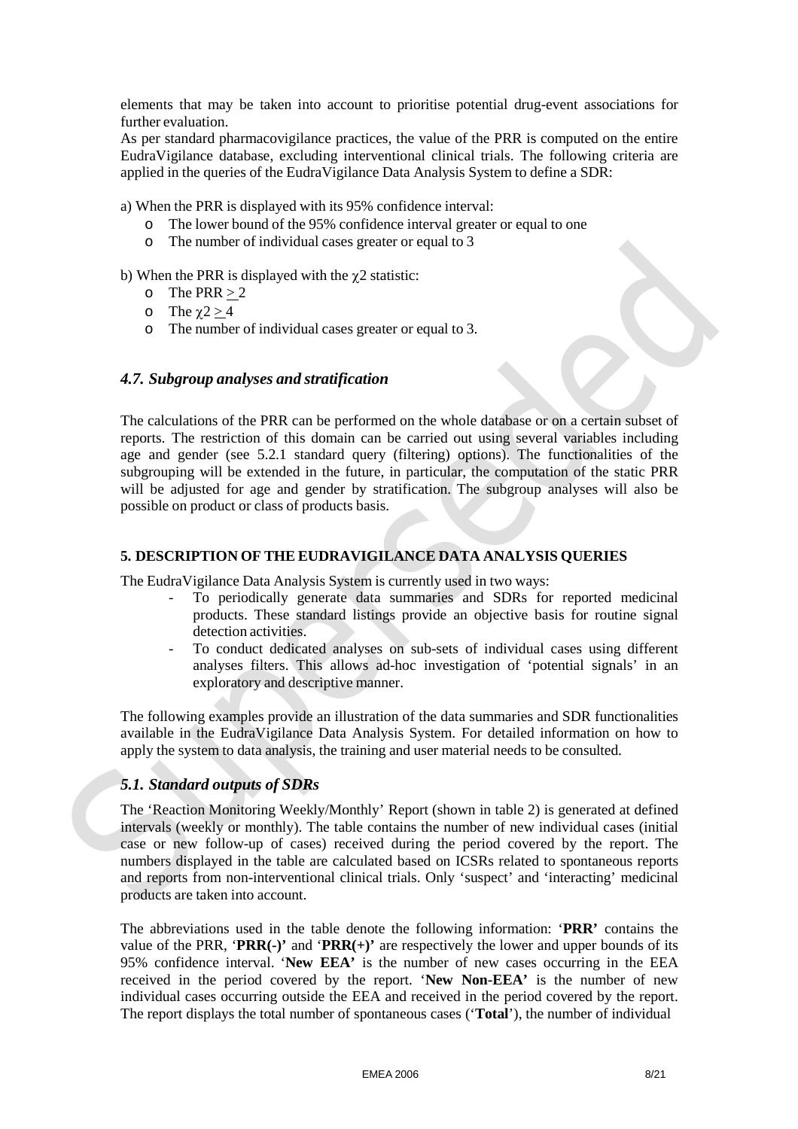elements that may be taken into account to prioritise potential drug-event associations for further evaluation.

As per standard pharmacovigilance practices, the value of the PRR is computed on the entire EudraVigilance database, excluding interventional clinical trials. The following criteria are applied in the queries of the EudraVigilance Data Analysis System to define a SDR:

a) When the PRR is displayed with its 95% confidence interval:

- o The lower bound of the 95% confidence interval greater or equal to one
- o The number of individual cases greater or equal to 3
- b) When the PRR is displayed with the  $\gamma$ 2 statistic:
	- o The PRR  $> 2$
	- o The  $\chi$ 2 > 4
	- o The number of individual cases greater or equal to 3.

#### *4.7. Subgroup analyses and stratification*

The calculations of the PRR can be performed on the whole database or on a certain subset of reports. The restriction of this domain can be carried out using several variables including age and gender (see 5.2.1 standard query (filtering) options). The functionalities of the subgrouping will be extended in the future, in particular, the computation of the static PRR will be adjusted for age and gender by stratification. The subgroup analyses will also be possible on product or class of products basis.

#### **5. DESCRIPTION OF THE EUDRAVIGILANCE DATA ANALYSIS QUERIES**

The EudraVigilance Data Analysis System is currently used in two ways:

- To periodically generate data summaries and SDRs for reported medicinal products. These standard listings provide an objective basis for routine signal detection activities.
- To conduct dedicated analyses on sub-sets of individual cases using different analyses filters. This allows ad-hoc investigation of 'potential signals' in an exploratory and descriptive manner.

The following examples provide an illustration of the data summaries and SDR functionalities available in the EudraVigilance Data Analysis System. For detailed information on how to apply the system to data analysis, the training and user material needs to be consulted.

## *5.1. Standard outputs of SDRs*

The 'Reaction Monitoring Weekly/Monthly' Report (shown in table 2) is generated at defined intervals (weekly or monthly). The table contains the number of new individual cases (initial case or new follow-up of cases) received during the period covered by the report. The numbers displayed in the table are calculated based on ICSRs related to spontaneous reports and reports from non-interventional clinical trials. Only 'suspect' and 'interacting' medicinal products are taken into account.

The abbreviations used in the table denote the following information: '**PRR'** contains the value of the PRR, '**PRR(-)'** and '**PRR(+)'** are respectively the lower and upper bounds of its 95% confidence interval. '**New EEA'** is the number of new cases occurring in the EEA received in the period covered by the report. '**New Non-EEA'** is the number of new individual cases occurring outside the EEA and received in the period covered by the report. The report displays the total number of spontaneous cases ('**Total**'), the number of individual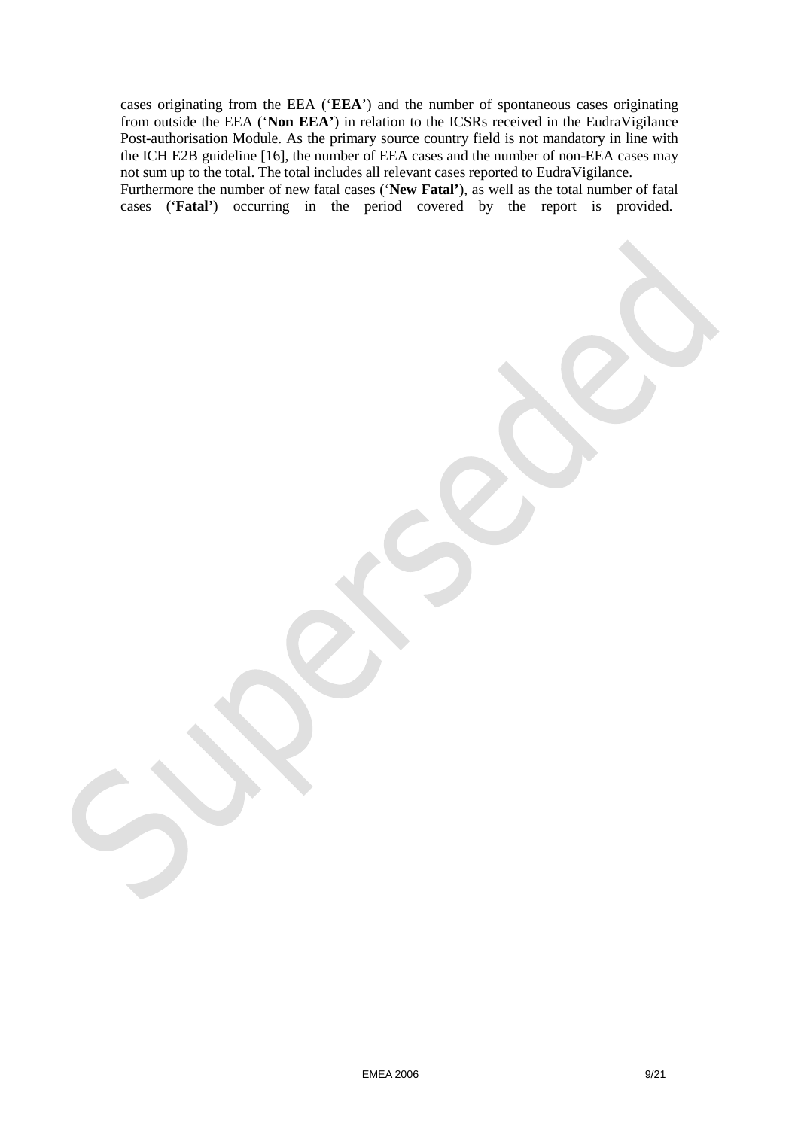cases originating from the EEA ('**EEA**') and the number of spontaneous cases originating from outside the EEA ('**Non EEA'**) in relation to the ICSRs received in the EudraVigilance Post-authorisation Module. As the primary source country field is not mandatory in line with the ICH E2B guideline [16], the number of EEA cases and the number of non-EEA cases may not sum up to the total. The total includes all relevant cases reported to EudraVigilance. Furthermore the number of new fatal cases ('**New Fatal'**), as well as the total number of fatal cases ('**Fatal'**) occurring in the period covered by the report is provided.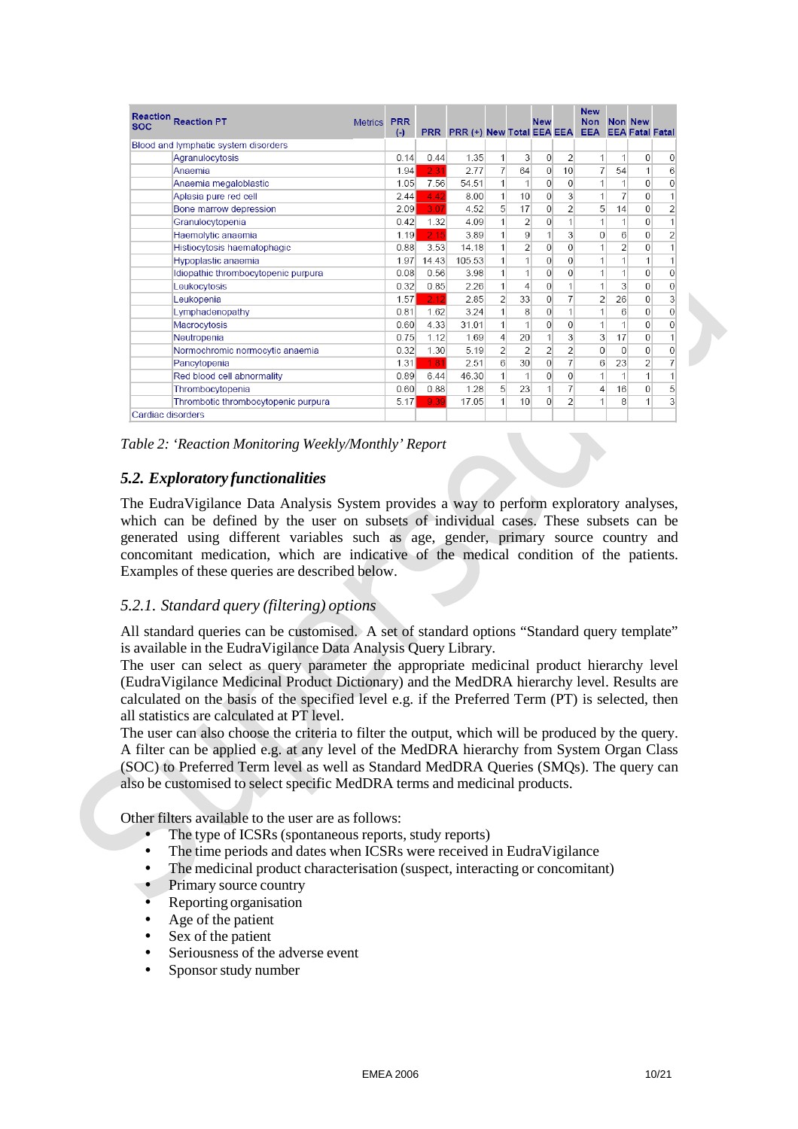| <b>Reaction</b><br><b>SOC</b> | <b>Reaction PT</b>                   |  | <b>PRR</b><br>$(-)$ | <b>PRR</b> | PRR (+) New Total EEA EEA |                |                | <b>New</b>     |                | <b>New</b><br><b>Non</b><br><b>EEA</b> |                         | Non New<br><b>EEA Fatal Fatal</b> |                |
|-------------------------------|--------------------------------------|--|---------------------|------------|---------------------------|----------------|----------------|----------------|----------------|----------------------------------------|-------------------------|-----------------------------------|----------------|
|                               | Blood and lymphatic system disorders |  |                     |            |                           |                |                |                |                |                                        |                         |                                   |                |
|                               | Agranulocytosis                      |  | 0.14                | 0.44       | 1.35                      | 1              | 3              | $\mathbf{0}$   | $\overline{2}$ | 1                                      | 1                       | $\mathbf{0}$                      | 0              |
|                               | Anaemia                              |  | 1.94                | 2.31       | 2.77                      | $\overline{7}$ | 64             | $\overline{0}$ | 10             | $\overline{7}$                         | 54                      | 1                                 | 6              |
|                               | Anaemia megaloblastic                |  | 1.05                | 7.56       | 54.51                     | 1              | 1              | $\Omega$       | $\mathbf 0$    | 1                                      |                         | $\Omega$                          | $\overline{0}$ |
|                               | Aplasia pure red cell                |  | 2.44                | 4.42       | 8.00                      | $\mathbf{1}$   | 10             | $\mathbf{0}$   | 3              | 1                                      | 7                       | 0                                 | $\mathbf{1}$   |
|                               | Bone marrow depression               |  | 2.09                | 3.07       | 4.52                      | 5 <sup>1</sup> | 17             | $\Omega$       | $\overline{2}$ | 5                                      | 14                      | $\Omega$                          | $\overline{2}$ |
|                               | Granulocytopenia                     |  | 0.42                | 1.32       | 4.09                      | $\mathbf{1}$   | $\overline{2}$ | $\overline{0}$ |                | 1                                      | 1                       | 0                                 | $\mathbf{1}$   |
|                               | Haemolytic anaemia                   |  | 1.19                | 2.15       | 3.89                      | 1              | 9              |                | 3              | 0                                      | 6                       | $\theta$                          | $\overline{a}$ |
|                               | Histiocytosis haematophagic          |  | 0.88                | 3.53       | 14.18                     | $\mathbf{1}$   | $\overline{2}$ | $\mathbf{0}$   | $\Omega$       | 1                                      | $\overline{2}$          | $\mathbf{0}$                      | 1              |
|                               | Hypoplastic anaemia                  |  | 1.97                | 14.43      | 105.53                    | $\mathbf{1}$   | 1              | $\mathbf{0}$   | $\Omega$       | 1                                      | 1                       | 1                                 | 1              |
|                               | Idiopathic thrombocytopenic purpura  |  | 0.08                | 0.56       | 3.98                      | $\mathbf{1}$   | 1              | $\overline{0}$ | 0              | 1                                      | 1                       | $\mathbf{0}$                      | 0              |
|                               | Leukocytosis                         |  | 0.32                | 0.85       | 2.26                      | $\mathbf{1}$   | 4              | $\overline{0}$ |                | 1                                      | $\overline{\mathbf{3}}$ | $\overline{0}$                    | 0              |
|                               | Leukopenia                           |  | 1.57                | 2.12       | 2.85                      | $\overline{2}$ | 33             | $\overline{0}$ | 7              | $\overline{2}$                         | 26                      | $\overline{0}$                    | 3              |
|                               | Lymphadenopathy                      |  | 0.81                | 1.62       | 3.24                      | 1              | 8              | $\mathbf{0}$   |                | 1                                      | $6\overline{6}$         | $\mathbf{0}$                      | 0              |
|                               | Macrocytosis                         |  | 0.60                | 4.33       | 31.01                     | $\mathbf{1}$   | 1              | $\overline{0}$ | $\overline{0}$ | 1                                      | 1                       | $\mathbf{0}$                      | 0              |
|                               | Neutropenia                          |  | 0.75                | 1.12       | 169                       | $\overline{4}$ | 20             |                | 3              | 3                                      | 17                      | $\Omega$                          | $\overline{1}$ |
|                               | Normochromic normocytic anaemia      |  | 0.32                | 1 30       | 5 1 9                     | $\overline{2}$ | $\overline{2}$ | $\overline{2}$ | $\overline{2}$ | $\mathbf{0}$                           | $\Omega$                | $\Omega$                          | 0              |
|                               | Pancytopenia                         |  | 1.31                | 1.81       | 2.51                      | 6 <sup>1</sup> | 30             | $\Omega$       | $\overline{7}$ | 6                                      | 23                      | $\overline{2}$                    | 7              |
|                               | Red blood cell abnormality           |  | 0.89                | 6.44       | 46.30                     | $\mathbf{1}$   | 1              | $\Omega$       | $\Omega$       | 1                                      | 1                       | 1                                 | 1              |
|                               | Thrombocytopenia                     |  | 0.60                | 0.88       | 1.28                      | 5 <sup>1</sup> | 23             | 1              | 7              | 4                                      | 16                      | $\mathbf{0}$                      | 5              |
|                               | Thrombotic thrombocytopenic purpura  |  | 5.17                | 9.39       | 17.05                     | $\mathbf{1}$   | 10             | $\mathbf{0}$   | $\overline{2}$ | 1                                      | 8                       | 1                                 | 3              |
| Cardiac disorders             |                                      |  |                     |            |                           |                |                |                |                |                                        |                         |                                   |                |

### *Table 2: 'Reaction Monitoring Weekly/Monthly' Report*

## *5.2. Exploratory functionalities*

The EudraVigilance Data Analysis System provides a way to perform exploratory analyses, which can be defined by the user on subsets of individual cases. These subsets can be generated using different variables such as age, gender, primary source country and concomitant medication, which are indicative of the medical condition of the patients. Examples of these queries are described below.

## *5.2.1. Standard query (filtering) options*

All standard queries can be customised. A set of standard options "Standard query template" is available in the EudraVigilance Data Analysis Query Library.

The user can select as query parameter the appropriate medicinal product hierarchy level (EudraVigilance Medicinal Product Dictionary) and the MedDRA hierarchy level. Results are calculated on the basis of the specified level e.g. if the Preferred Term (PT) is selected, then all statistics are calculated at PT level.

The user can also choose the criteria to filter the output, which will be produced by the query. A filter can be applied e.g. at any level of the MedDRA hierarchy from System Organ Class (SOC) to Preferred Term level as well as Standard MedDRA Queries (SMQs). The query can also be customised to select specific MedDRA terms and medicinal products.

Other filters available to the user are as follows:

- The type of ICSRs (spontaneous reports, study reports)
- The time periods and dates when ICSRs were received in EudraVigilance
- The medicinal product characterisation (suspect, interacting or concomitant)
- Primary source country
- Reporting organisation
- Age of the patient
- Sex of the patient
- Seriousness of the adverse event
- Sponsor study number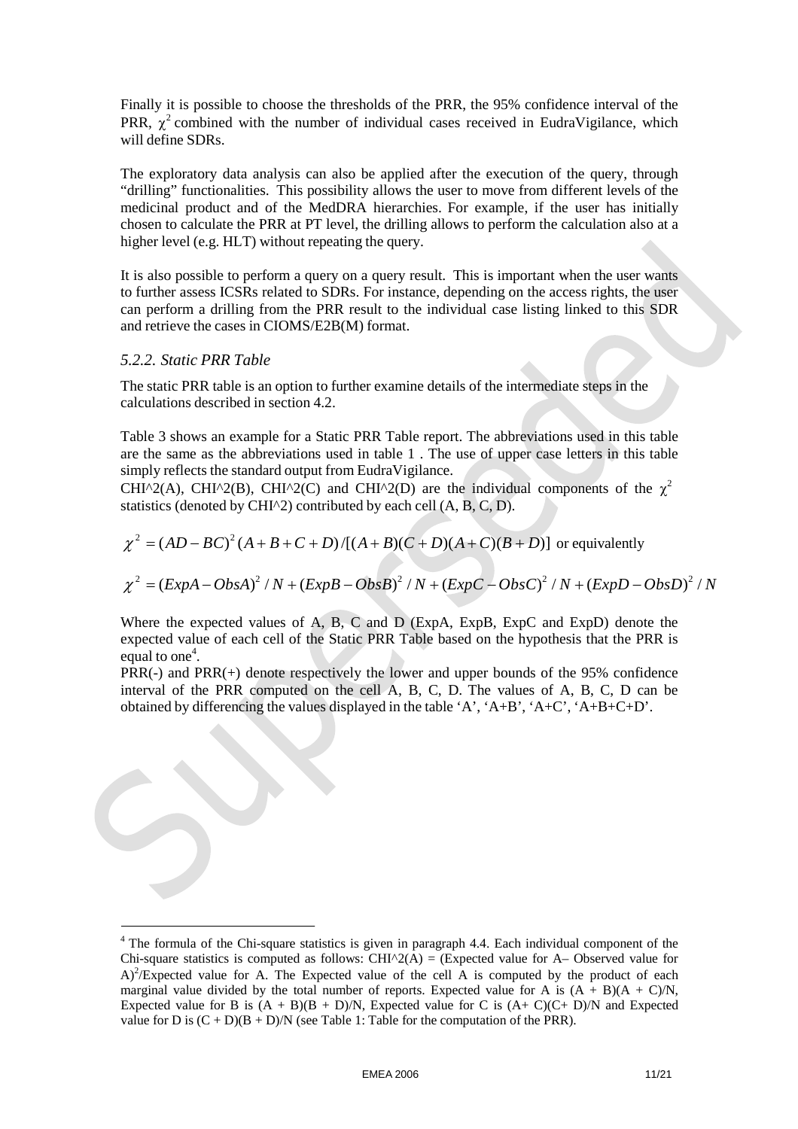Finally it is possible to choose the thresholds of the PRR, the 95% confidence interval of the PRR,  $\chi^2$  combined with the number of individual cases received in EudraVigilance, which will define SDRs.

The exploratory data analysis can also be applied after the execution of the query, through "drilling" functionalities. This possibility allows the user to move from different levels of the medicinal product and of the MedDRA hierarchies. For example, if the user has initially chosen to calculate the PRR at PT level, the drilling allows to perform the calculation also at a higher level (e.g. HLT) without repeating the query.

It is also possible to perform a query on a query result. This is important when the user wants to further assess ICSRs related to SDRs. For instance, depending on the access rights, the user can perform a drilling from the PRR result to the individual case listing linked to this SDR and retrieve the cases in CIOMS/E2B(M) format.

#### *5.2.2. Static PRR Table*

The static PRR table is an option to further examine details of the intermediate steps in the calculations described in section 4.2.

Table 3 shows an example for a Static PRR Table report. The abbreviations used in this table are the same as the abbreviations used in table 1 . The use of upper case letters in this table simply reflects the standard output from EudraVigilance.

CHI^2(A), CHI^2(B), CHI^2(C) and CHI^2(D) are the individual components of the  $\chi^2$ statistics (denoted by CHI^2) contributed by each cell (A, B, C, D).

$$
\chi^2 = (AD - BC)^2 (A + B + C + D) / [(A + B)(C + D)(A + C)(B + D)]
$$
 or equivalently

$$
\chi^2 = (ExpA - ObsA)^2 / N + (ExpB - ObsB)^2 / N + (ExpC - ObsC)^2 / N + (ExpD - ObsD)^2 / N
$$

Where the expected values of A, B, C and D (ExpA, ExpB, ExpC and ExpD) denote the expected value of each cell of the Static PRR Table based on the hypothesis that the PRR is equal to one<sup>4</sup>.

PRR(-) and PRR(+) denote respectively the lower and upper bounds of the 95% confidence interval of the PRR computed on the cell A, B, C, D. The values of A, B, C, D can be obtained by differencing the values displayed in the table 'A', 'A+B', 'A+C', 'A+B+C+D'.

<sup>&</sup>lt;sup>4</sup> The formula of the Chi-square statistics is given in paragraph 4.4. Each individual component of the Chi-square statistics is computed as follows: CHI $^{\wedge}2(A) =$  (Expected value for A– Observed value for  $A)^2$ /Expected value for A. The Expected value of the cell A is computed by the product of each marginal value divided by the total number of reports. Expected value for A is  $(A + B)(A + C)/N$ , Expected value for B is  $(A + B)(B + D)/N$ , Expected value for C is  $(A + C)(C + D)/N$  and Expected value for D is  $(C + D)(B + D)/N$  (see Table 1: Table for the computation of the PRR).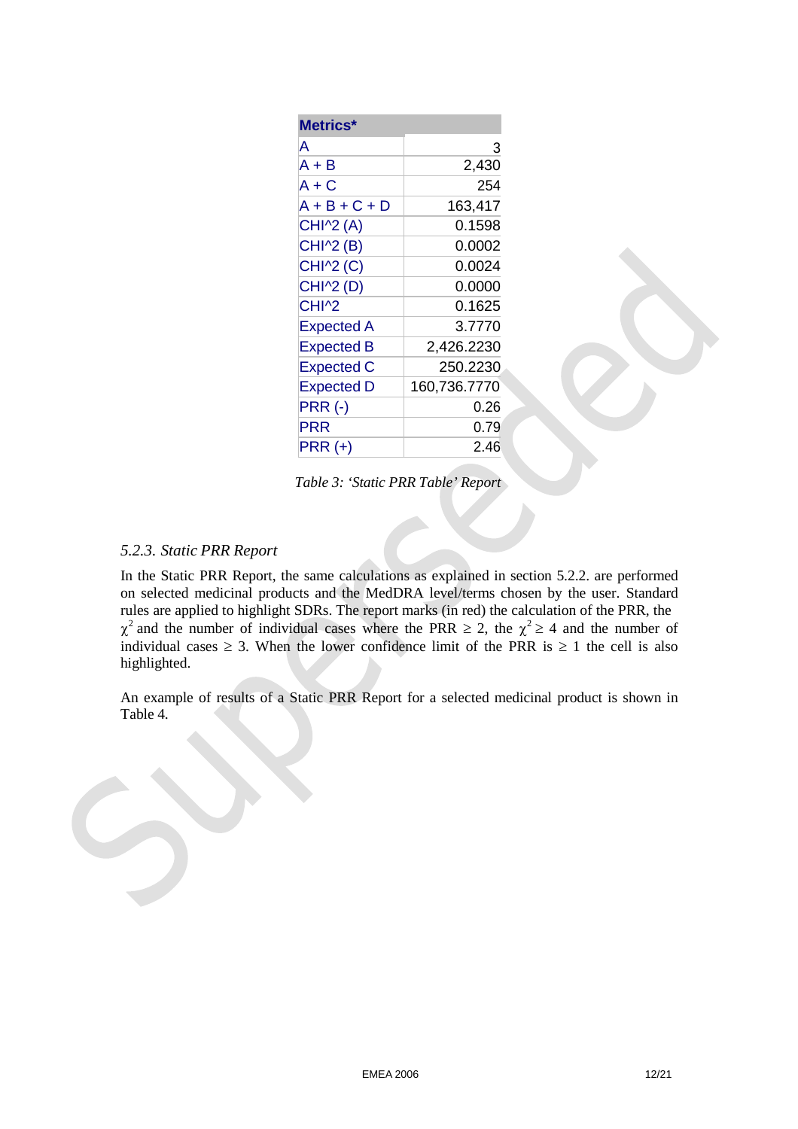| Metrics*          |              |
|-------------------|--------------|
| А                 | 3            |
| A + B             | 2,430        |
| A + C             | 254          |
| $A + B + C + D$   | 163,417      |
| <b>CHI^2 (A)</b>  | 0.1598       |
| CHI^2 (B)         | 0.0002       |
| CHI^2 (C)         | 0.0024       |
| CHI^2 (D)         | 0.0000       |
| CHI <sup>^2</sup> | 0.1625       |
| <b>Expected A</b> | 3.7770       |
| <b>Expected B</b> | 2,426.2230   |
| <b>Expected C</b> | 250.2230     |
| Expected D        | 160,736.7770 |
| <b>PRR (-)</b>    | 0.26         |
| <b>PRR</b>        | 0.79         |
| <b>PRR (+)</b>    | 2.46         |

*Table 3: 'Static PRR Table' Report*

## *5.2.3. Static PRR Report*

In the Static PRR Report, the same calculations as explained in section 5.2.2. are performed on selected medicinal products and the MedDRA level/terms chosen by the user. Standard rules are applied to highlight SDRs. The report marks (in red) the calculation of the PRR, the  $\chi^2$  and the number of individual cases where the PRR  $\geq$  2, the  $\chi^2 \geq$  4 and the number of individual cases  $\geq$  3. When the lower confidence limit of the PRR is  $\geq$  1 the cell is also highlighted.

An example of results of a Static PRR Report for a selected medicinal product is shown in Table 4.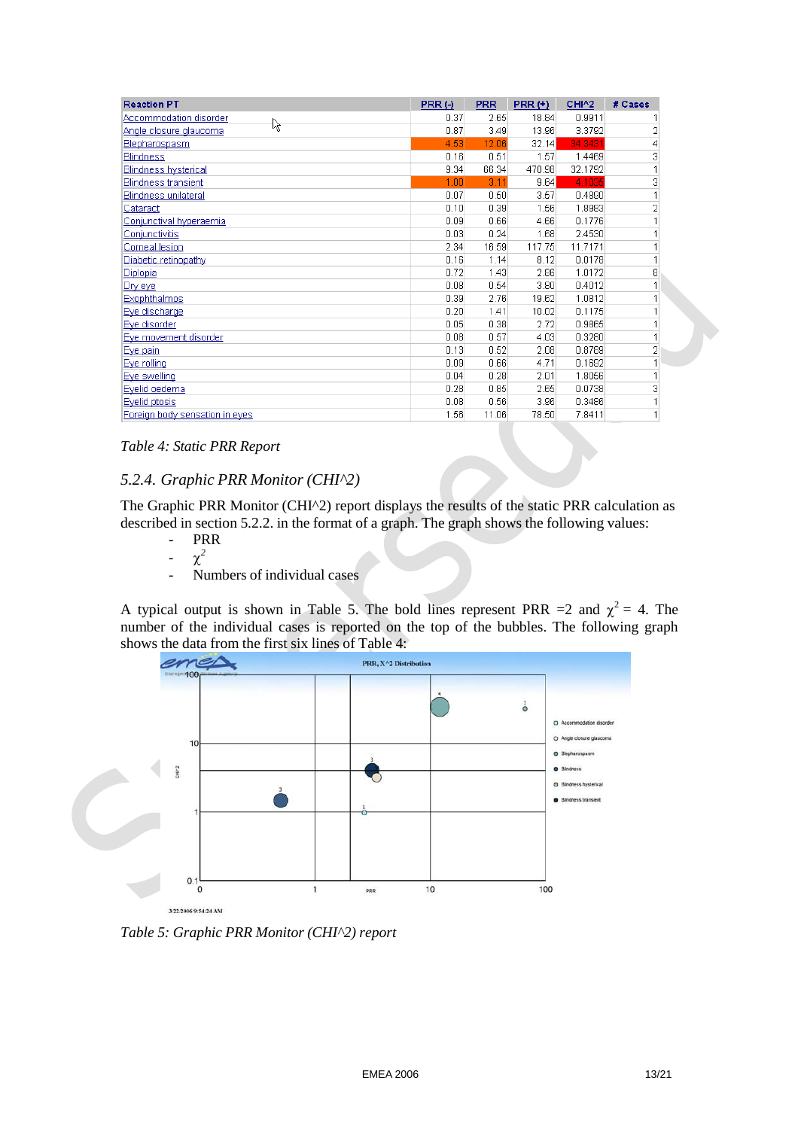| <b>Reaction PT</b>             | PRR(·) | <b>PRR</b> | PRR(t) | CHI^2   | # Cases        |
|--------------------------------|--------|------------|--------|---------|----------------|
| Accommodation disorder         | 0.37   | 2.65       | 18.84  | 0.9911  |                |
| হি<br>Angle closure glaucoma   | 0.87   | 3.49       | 13.96  | 3.3792  | 2              |
| Blepharospasm                  | 4.53   | 12.06      | 32.14  | 34.3431 | 4              |
| <b>Blindness</b>               | 0.16   | 0.51       | 1.57   | 1.4469  | 3              |
| <b>Blindness hysterical</b>    | 9.34   | 66.34      | 470.98 | 32.1792 |                |
| <b>Blindness transient</b>     | 1.00   | 3.11       | 9.64   | 4.1035  | 3              |
| <b>Blindness unilateral</b>    | 0.07   | 0.50       | 3.57   | 0.4890  |                |
| Cataract                       | 0.10   | 0.39       | 1.56   | 1.8983  | 2              |
| Conjunctival hyperaemia        | 0.09   | 0.66       | 4.66   | 0.1776  |                |
| Conjunctivitis                 | 0.03   | 0.24       | 1.68   | 2.4530  |                |
| Corneal lesion                 | 2.34   | 16.59      | 117.75 | 11.7171 |                |
| Diabetic retinopathy           | 0.16   | 1.14       | 8.12   | 0.0178  |                |
| Diplopia                       | 0.72   | 1.43       | 2.86   | 1.0172  | 8              |
| Dry eye                        | 0.08   | 0.54       | 3.80   | 0.4012  |                |
| <b>Exophthalmos</b>            | 0.39   | 2.76       | 19.62  | 1.0812  |                |
| Eye discharge                  | 0.20   | 1.41       | 10.02  | 0.1175  |                |
| Eye disorder                   | 0.05   | 0.38       | 2.72   | 0.9865  |                |
| Eye movement disorder          | 0.08   | 0.57       | 4.03   | 0.3280  |                |
| Eye pain                       | 0.13   | 0.52       | 2.08   | 0.8789  | $\overline{2}$ |
| Eye rolling                    | 0.09   | 0.66       | 4.71   | 0.1692  |                |
| Eye swelling                   | 0.04   | 0.28       | 2.01   | 1.8056  |                |
| Eyelid oedema                  | 0.28   | 0.85       | 2.65   | 0.0738  | 3              |
| Eyelid ptosis                  | 0.08   | 0.56       | 3.96   | 0.3486  |                |
| Foreign body sensation in eyes | 1.56   | 11.06      | 78.50  | 7.8411  |                |

#### *Table 4: Static PRR Report*

### *5.2.4. Graphic PRR Monitor (CHI^2)*

The Graphic PRR Monitor (CHI^2) report displays the results of the static PRR calculation as described in section 5.2.2. in the format of a graph. The graph shows the following values:

- PRR
- $\chi^2$
- Numbers of individual cases

A typical output is shown in Table 5. The bold lines represent PRR = 2 and  $\chi^2$  = 4. The number of the individual cases is reported on the top of the bubbles. The following graph shows the data from the first six lines of Table 4:



*Table 5: Graphic PRR Monitor (CHI^2) report*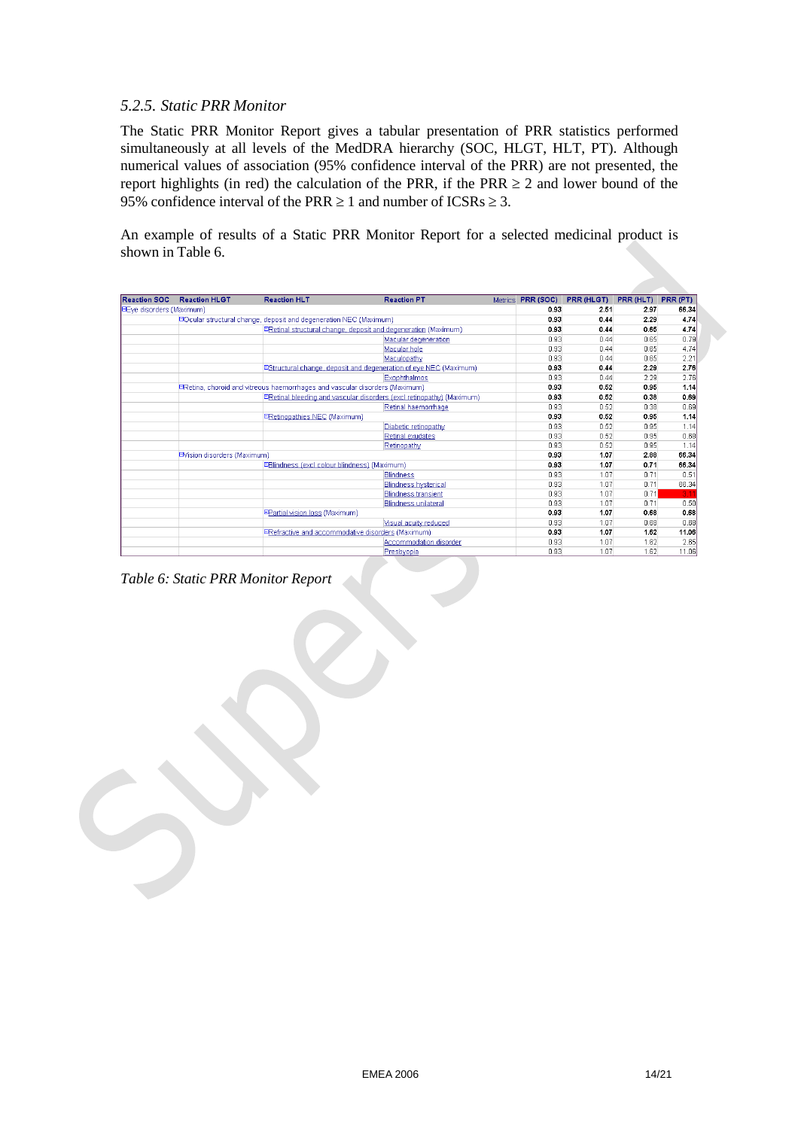### *5.2.5. Static PRR Monitor*

The Static PRR Monitor Report gives a tabular presentation of PRR statistics performed simultaneously at all levels of the MedDRA hierarchy (SOC, HLGT, HLT, PT). Although numerical values of association (95% confidence interval of the PRR) are not presented, the report highlights (in red) the calculation of the PRR, if the PRR  $\geq 2$  and lower bound of the 95% confidence interval of the PRR  $\geq 1$  and number of ICSRs  $\geq 3$ .

An example of results of a Static PRR Monitor Report for a selected medicinal product is shown in Table 6.

| <b>Reaction SOC</b>      | <b>Reaction HLGT</b>                                                     | <b>Reaction HLT</b>                          | <b>Reaction PT</b>                                                          | Metrics <b>PRR (SOC)</b> | <b>PRR (HLGT)</b> | PRR (HLT) | PRR (PT) |
|--------------------------|--------------------------------------------------------------------------|----------------------------------------------|-----------------------------------------------------------------------------|--------------------------|-------------------|-----------|----------|
| EEve disorders (Maximum) |                                                                          |                                              |                                                                             | 0.93                     | 2.51              | 2.97      | 66.34    |
|                          | <b>EOcular structural change, deposit and degeneration NEC (Maximum)</b> |                                              |                                                                             | 0.93                     | 0.44              | 2.29      | 4.74     |
|                          |                                                                          |                                              | ERetinal structural change, deposit and degeneration (Maximum)              | 0.93                     | 0.44              | 0.65      | 4.74     |
|                          |                                                                          |                                              | Macular degeneration                                                        | 0.93                     | 0.44              | 0.65      | 0.79     |
|                          |                                                                          |                                              | Macular hole                                                                | 0.93                     | 0.44              | 0.65      | 4.74     |
|                          |                                                                          |                                              | Maculopathy                                                                 | 0.93                     | $\prod$ 44        | 0.65      | 2.21     |
|                          |                                                                          |                                              | EStructural change, deposit and degeneration of eye NEC (Maximum)           | 0.93                     | 0.44              | 2.29      | 2.76     |
|                          |                                                                          |                                              | <b>Exophthalmos</b>                                                         | 0.93                     | 0.44              | 2.29      | 2.76     |
|                          |                                                                          |                                              | ERetina, choroid and vitreous haemorrhages and vascular disorders (Maximum) | 0.93                     | 0.52              | 0.95      | 1.14     |
|                          |                                                                          |                                              | ERetinal bleeding and vascular disorders (excl retinopathy) (Maximum)       | 0.93                     | 0.52              | 0.38      | 0.69     |
|                          |                                                                          |                                              | Retinal haemorrhage                                                         | 0.93                     | 0.52              | 0.38      | 0.69     |
|                          |                                                                          | <b>ERetinopathies NEC (Maximum)</b>          |                                                                             | 0.93                     | 0.52              | 0.95      | 1.14     |
|                          |                                                                          |                                              | Diabetic retinopathy                                                        | 0.93                     | 0.52              | 0.95      | 1.14     |
|                          |                                                                          |                                              | Retinal exudates                                                            | 0.93                     | 0.52              | 0.95      | 0.68     |
|                          |                                                                          |                                              | Retinopathy                                                                 | 0.93                     | 0.52              | 0.95      | 1.14     |
|                          | EVision disorders (Maximum)                                              |                                              |                                                                             | 0.93                     | 1.07              | 2.88      | 66.34    |
|                          |                                                                          | EBlindness (excl colour blindness) (Maximum) |                                                                             | 0.93                     | 1.07              | 0.71      | 66.34    |
|                          |                                                                          |                                              | <b>Blindness</b>                                                            | 0.93                     | 1.07              | 0.71      | 0.51     |
|                          |                                                                          |                                              | <b>Blindness hysterical</b>                                                 | 0.93                     | 1.07              | 0.71      | 66.34    |
|                          |                                                                          |                                              | <b>Blindness transient</b>                                                  | 0.93                     | 1.07              | 0.71      | 3.1      |
|                          |                                                                          |                                              | <b>Blindness unilateral</b>                                                 | 0.93                     | 1.07              | 0.71      | 0.50     |
|                          |                                                                          | EPartial vision loss (Maximum)               |                                                                             | 0.93                     | 1.07              | 0.68      | 0.68     |
|                          |                                                                          |                                              | Visual acuity reduced                                                       | 0.93                     | 1.07              | 0.68      | 0.68     |
|                          |                                                                          |                                              | ERefractive and accommodative disorders (Maximum)                           | 0.93                     | 1.07              | 1.62      | 11.06    |
|                          |                                                                          |                                              | Accommodation disorder                                                      | 0.93                     | 1.07              | 1.62      | 2.65     |
|                          |                                                                          |                                              | Presbyopia                                                                  | 0.93                     | 1.07              | 1.62      | 11.06    |

*Table 6: Static PRR Monitor Report*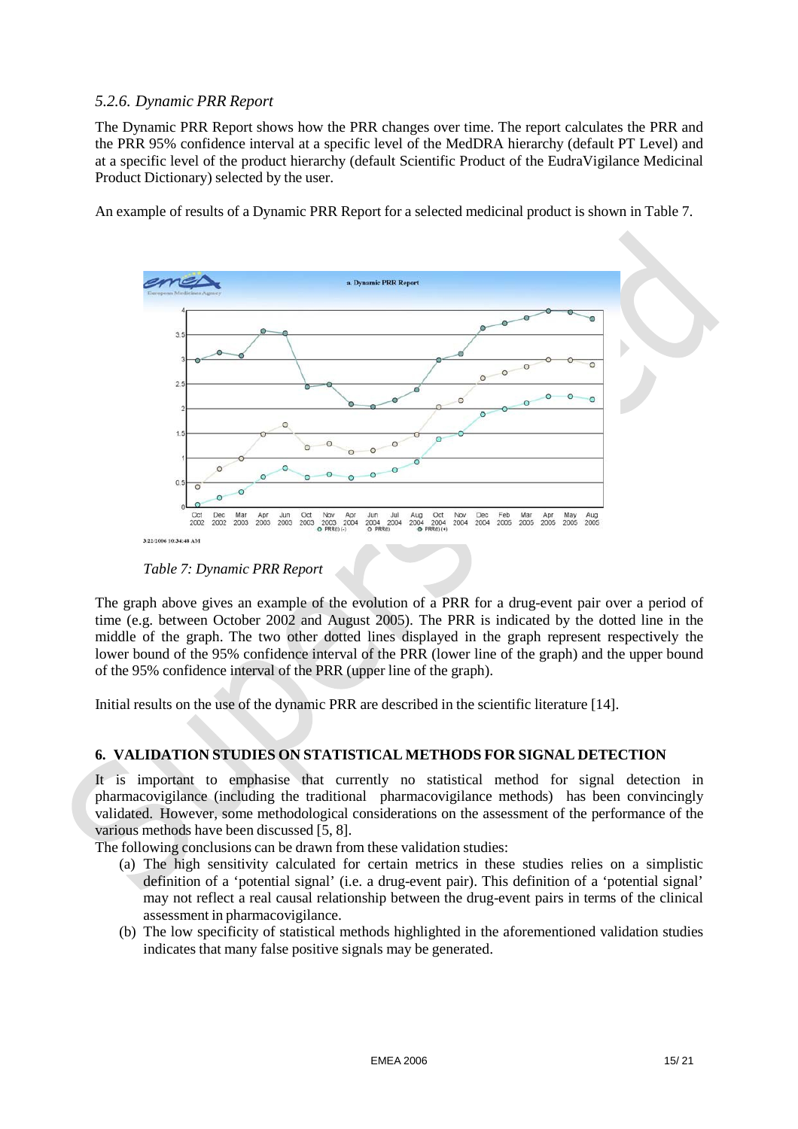## *5.2.6. Dynamic PRR Report*

The Dynamic PRR Report shows how the PRR changes over time. The report calculates the PRR and the PRR 95% confidence interval at a specific level of the MedDRA hierarchy (default PT Level) and at a specific level of the product hierarchy (default Scientific Product of the EudraVigilance Medicinal Product Dictionary) selected by the user.

An example of results of a Dynamic PRR Report for a selected medicinal product is shown in Table 7.



*Table 7: Dynamic PRR Report*

The graph above gives an example of the evolution of a PRR for a drug-event pair over a period of time (e.g. between October 2002 and August 2005). The PRR is indicated by the dotted line in the middle of the graph. The two other dotted lines displayed in the graph represent respectively the lower bound of the 95% confidence interval of the PRR (lower line of the graph) and the upper bound of the 95% confidence interval of the PRR (upper line of the graph).

Initial results on the use of the dynamic PRR are described in the scientific literature [14].

# **6. VALIDATION STUDIES ON STATISTICAL METHODS FOR SIGNAL DETECTION**

It is important to emphasise that currently no statistical method for signal detection in pharmacovigilance (including the traditional pharmacovigilance methods) has been convincingly validated. However, some methodological considerations on the assessment of the performance of the various methods have been discussed [5, 8].

The following conclusions can be drawn from these validation studies:

- (a) The high sensitivity calculated for certain metrics in these studies relies on a simplistic definition of a 'potential signal' (i.e. a drug-event pair). This definition of a 'potential signal' may not reflect a real causal relationship between the drug-event pairs in terms of the clinical assessment in pharmacovigilance.
- (b) The low specificity of statistical methods highlighted in the aforementioned validation studies indicates that many false positive signals may be generated.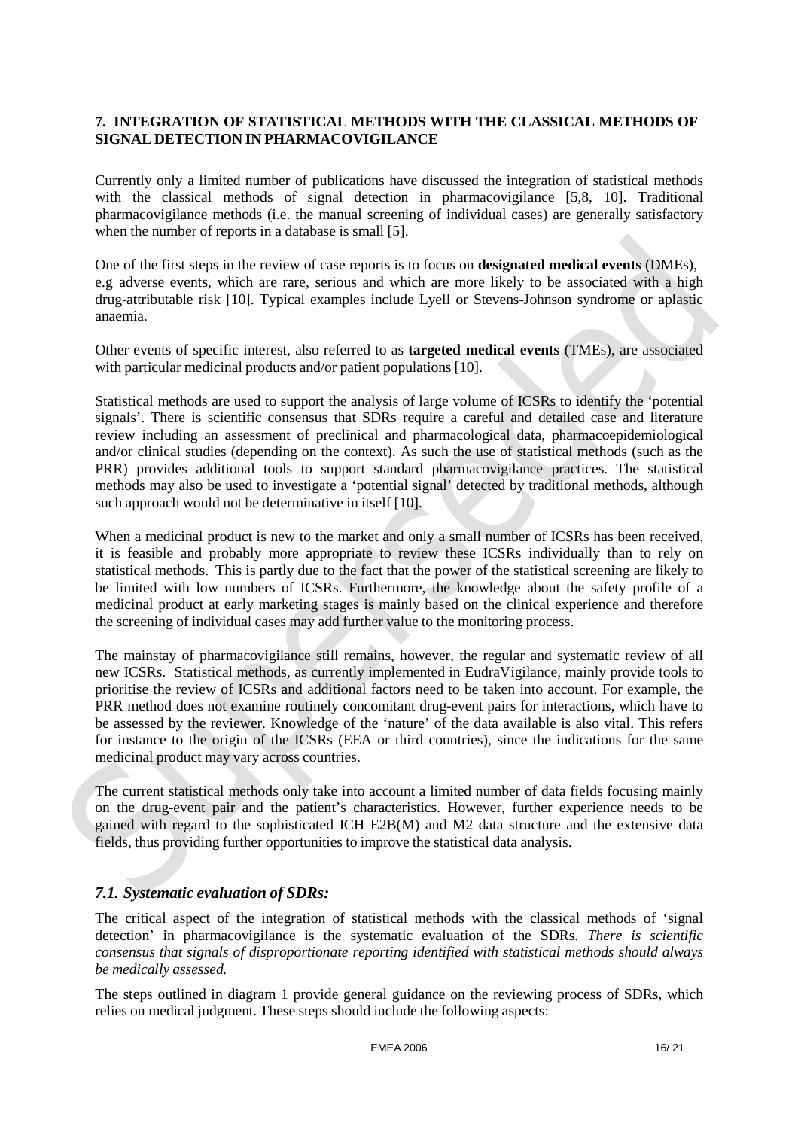## **7. INTEGRATION OF STATISTICAL METHODS WITH THE CLASSICAL METHODS OF SIGNAL DETECTION IN PHARMACOVIGILANCE**

Currently only a limited number of publications have discussed the integration of statistical methods with the classical methods of signal detection in pharmacovigilance [5,8, 10]. Traditional pharmacovigilance methods (i.e. the manual screening of individual cases) are generally satisfactory when the number of reports in a database is small [5].

One of the first steps in the review of case reports is to focus on **designated medical events** (DMEs), e.g adverse events, which are rare, serious and which are more likely to be associated with a high drug-attributable risk [10]. Typical examples include Lyell or Stevens-Johnson syndrome or aplastic anaemia.

Other events of specific interest, also referred to as **targeted medical events** (TMEs), are associated with particular medicinal products and/or patient populations [10].

Statistical methods are used to support the analysis of large volume of ICSRs to identify the 'potential signals'. There is scientific consensus that SDRs require a careful and detailed case and literature review including an assessment of preclinical and pharmacological data, pharmacoepidemiological and/or clinical studies (depending on the context). As such the use of statistical methods (such as the PRR) provides additional tools to support standard pharmacovigilance practices. The statistical methods may also be used to investigate a 'potential signal' detected by traditional methods, although such approach would not be determinative in itself [10].

When a medicinal product is new to the market and only a small number of ICSRs has been received, it is feasible and probably more appropriate to review these ICSRs individually than to rely on statistical methods. This is partly due to the fact that the power of the statistical screening are likely to be limited with low numbers of ICSRs. Furthermore, the knowledge about the safety profile of a medicinal product at early marketing stages is mainly based on the clinical experience and therefore the screening of individual cases may add further value to the monitoring process.

The mainstay of pharmacovigilance still remains, however, the regular and systematic review of all new ICSRs. Statistical methods, as currently implemented in EudraVigilance, mainly provide tools to prioritise the review of ICSRs and additional factors need to be taken into account. For example, the PRR method does not examine routinely concomitant drug-event pairs for interactions, which have to be assessed by the reviewer. Knowledge of the 'nature' of the data available is also vital. This refers for instance to the origin of the ICSRs (EEA or third countries), since the indications for the same medicinal product may vary across countries.

The current statistical methods only take into account a limited number of data fields focusing mainly on the drug-event pair and the patient's characteristics. However, further experience needs to be gained with regard to the sophisticated ICH E2B(M) and M2 data structure and the extensive data fields, thus providing further opportunities to improve the statistical data analysis.

## *7.1. Systematic evaluation of SDRs:*

The critical aspect of the integration of statistical methods with the classical methods of 'signal detection' in pharmacovigilance is the systematic evaluation of the SDRs. *There is scientific consensus that signals of disproportionate reporting identified with statistical methods should always be medically assessed.*

The steps outlined in diagram 1 provide general guidance on the reviewing process of SDRs, which relies on medical judgment. These steps should include the following aspects: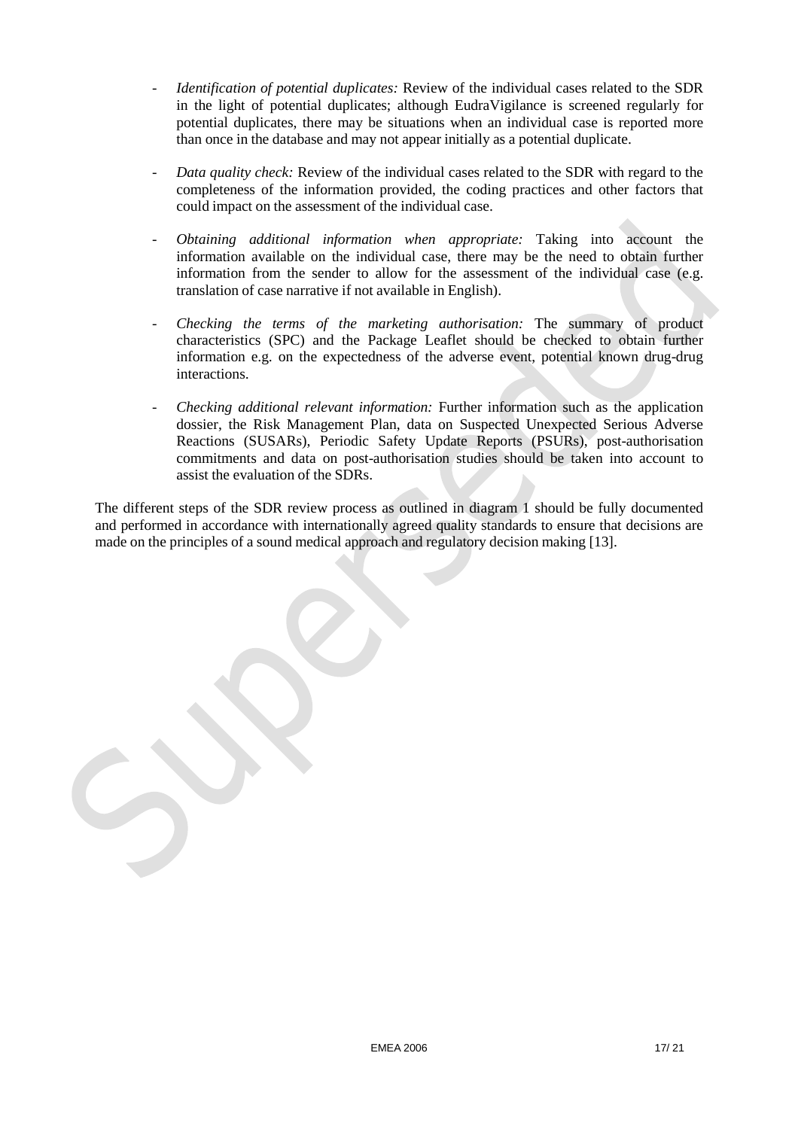- *Identification of potential duplicates:* Review of the individual cases related to the SDR in the light of potential duplicates; although EudraVigilance is screened regularly for potential duplicates, there may be situations when an individual case is reported more than once in the database and may not appear initially as a potential duplicate.
- *Data quality check:* Review of the individual cases related to the SDR with regard to the completeness of the information provided, the coding practices and other factors that could impact on the assessment of the individual case.
- *Obtaining additional information when appropriate:* Taking into account the information available on the individual case, there may be the need to obtain further information from the sender to allow for the assessment of the individual case (e.g. translation of case narrative if not available in English).
- *Checking the terms of the marketing authorisation:* The summary of product characteristics (SPC) and the Package Leaflet should be checked to obtain further information e.g. on the expectedness of the adverse event, potential known drug-drug interactions.
- *Checking additional relevant information:* Further information such as the application dossier, the Risk Management Plan, data on Suspected Unexpected Serious Adverse Reactions (SUSARs), Periodic Safety Update Reports (PSURs), post-authorisation commitments and data on post-authorisation studies should be taken into account to assist the evaluation of the SDRs.

The different steps of the SDR review process as outlined in diagram 1 should be fully documented and performed in accordance with internationally agreed quality standards to ensure that decisions are made on the principles of a sound medical approach and regulatory decision making [13].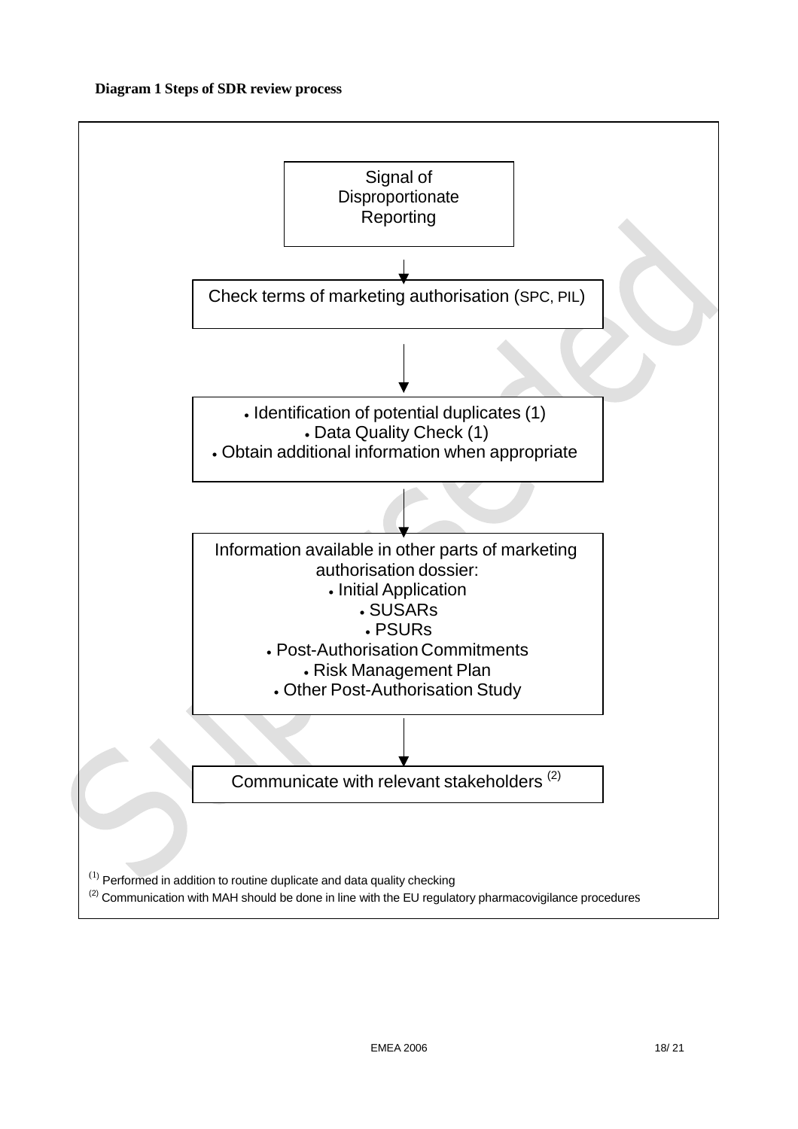#### **Diagram 1 Steps of SDR review process**

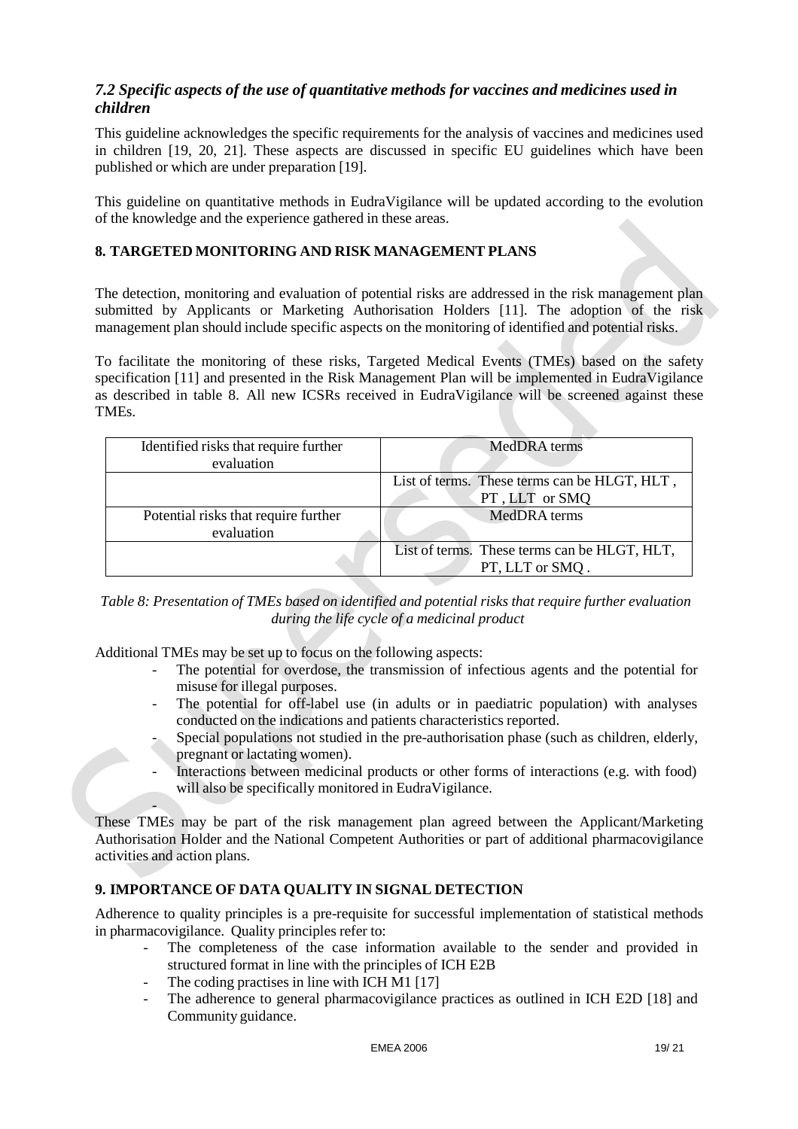# *7.2 Specific aspects of the use of quantitative methods for vaccines and medicines used in children*

This guideline acknowledges the specific requirements for the analysis of vaccines and medicines used in children [19, 20, 21]. These aspects are discussed in specific EU guidelines which have been published or which are under preparation [19].

This guideline on quantitative methods in EudraVigilance will be updated according to the evolution of the knowledge and the experience gathered in these areas.

## **8. TARGETED MONITORING AND RISK MANAGEMENT PLANS**

The detection, monitoring and evaluation of potential risks are addressed in the risk management plan submitted by Applicants or Marketing Authorisation Holders [11]. The adoption of the risk management plan should include specific aspects on the monitoring of identified and potential risks.

To facilitate the monitoring of these risks, Targeted Medical Events (TMEs) based on the safety specification [11] and presented in the Risk Management Plan will be implemented in EudraVigilance as described in table 8. All new ICSRs received in EudraVigilance will be screened against these TMEs.

| Identified risks that require further<br>evaluation | MedDRA terms                                                    |
|-----------------------------------------------------|-----------------------------------------------------------------|
|                                                     | List of terms. These terms can be HLGT, HLT,<br>PT, LLT or SMQ  |
| Potential risks that require further<br>evaluation  | MedDRA terms                                                    |
|                                                     | List of terms. These terms can be HLGT, HLT,<br>PT, LLT or SMQ. |

*Table 8: Presentation of TMEs based on identified and potential risks that require further evaluation during the life cycle of a medicinal product*

Additional TMEs may be set up to focus on the following aspects:

-

- The potential for overdose, the transmission of infectious agents and the potential for misuse for illegal purposes.
- The potential for off-label use (in adults or in paediatric population) with analyses conducted on the indications and patients characteristics reported.
- Special populations not studied in the pre-authorisation phase (such as children, elderly, pregnant or lactating women).
- Interactions between medicinal products or other forms of interactions (e.g. with food) will also be specifically monitored in EudraVigilance.

These TMEs may be part of the risk management plan agreed between the Applicant/Marketing Authorisation Holder and the National Competent Authorities or part of additional pharmacovigilance activities and action plans.

# **9. IMPORTANCE OF DATA QUALITY IN SIGNAL DETECTION**

Adherence to quality principles is a pre-requisite for successful implementation of statistical methods in pharmacovigilance. Quality principles refer to:

- The completeness of the case information available to the sender and provided in structured format in line with the principles of ICH E2B
- The coding practises in line with ICH M1 [17]
- The adherence to general pharmacovigilance practices as outlined in ICH E2D [18] and Community guidance.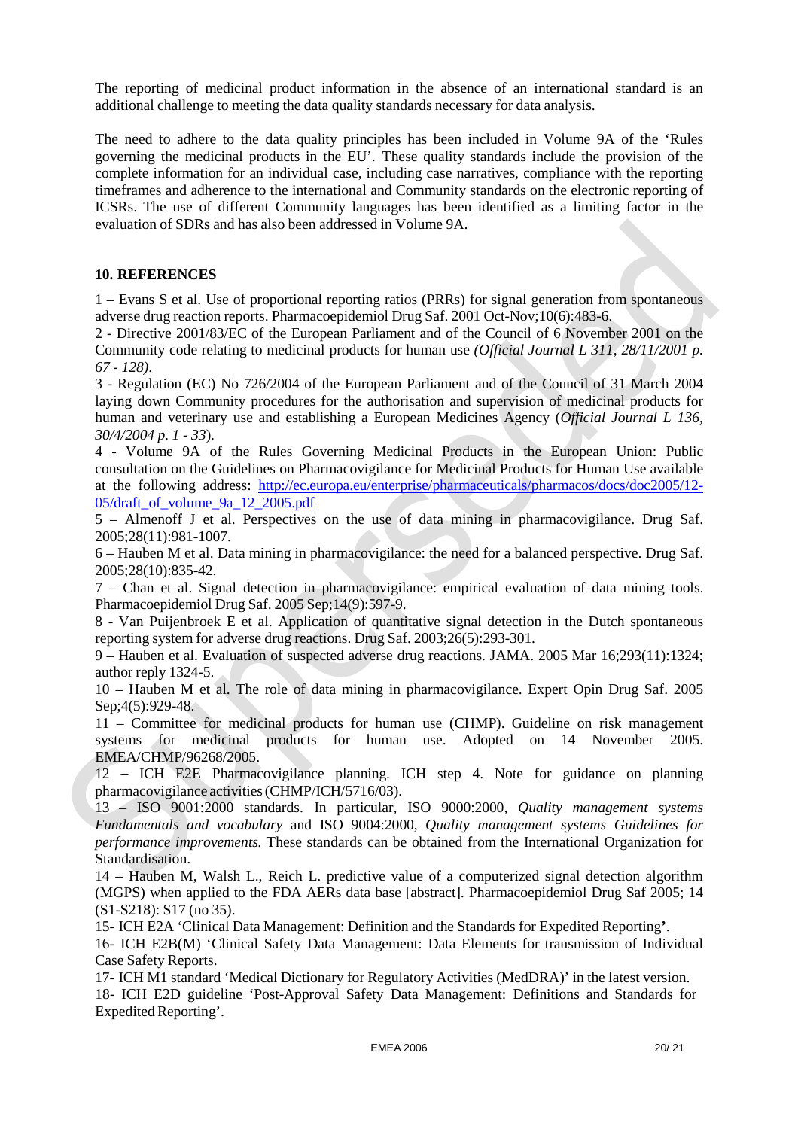The reporting of medicinal product information in the absence of an international standard is an additional challenge to meeting the data quality standards necessary for data analysis.

The need to adhere to the data quality principles has been included in Volume 9A of the 'Rules governing the medicinal products in the EU'. These quality standards include the provision of the complete information for an individual case, including case narratives, compliance with the reporting timeframes and adherence to the international and Community standards on the electronic reporting of ICSRs. The use of different Community languages has been identified as a limiting factor in the evaluation of SDRs and has also been addressed in Volume 9A.

#### **10. REFERENCES**

1 – Evans S et al. Use of proportional reporting ratios (PRRs) for signal generation from spontaneous adverse drug reaction reports. Pharmacoepidemiol Drug Saf. 2001 Oct-Nov;10(6):483-6.

2 - Directive 2001/83/EC of the European Parliament and of the Council of 6 November 2001 on the Community code relating to medicinal products for human use *(Official Journal L 311, 28/11/2001 p. 67 - 128)*.

3 - Regulation (EC) No 726/2004 of the European Parliament and of the Council of 31 March 2004 laying down Community procedures for the authorisation and supervision of medicinal products for human and veterinary use and establishing a European Medicines Agency (*Official Journal L 136, 30/4/2004 p. 1 - 33*).

4 - Volume 9A of the Rules Governing Medicinal Products in the European Union: Public consultation on the Guidelines on Pharmacovigilance for Medicinal Products for Human Use available at the following address: <http://ec.europa.eu/enterprise/pharmaceuticals/pharmacos/docs/doc2005/12-> 05/draft\_of\_volume\_9a\_12\_2005.pdf

5 – Almenoff J et al. Perspectives on the use of data mining in pharmacovigilance. Drug Saf. 2005;28(11):981-1007.

6 – Hauben M et al. Data mining in pharmacovigilance: the need for a balanced perspective. Drug Saf. 2005;28(10):835-42.

7 – Chan et al. Signal detection in pharmacovigilance: empirical evaluation of data mining tools. Pharmacoepidemiol Drug Saf. 2005 Sep;14(9):597-9.

8 - Van Puijenbroek E et al. Application of quantitative signal detection in the Dutch spontaneous reporting system for adverse drug reactions. Drug Saf. 2003;26(5):293-301.

9 – Hauben et al. Evaluation of suspected adverse drug reactions. JAMA. 2005 Mar 16;293(11):1324; author reply 1324-5.

10 – Hauben M et al. The role of data mining in pharmacovigilance. Expert Opin Drug Saf. 2005 Sep;4(5):929-48.

11 – Committee for medicinal products for human use (CHMP). Guideline on risk management systems for medicinal products for human use. Adopted on 14 November 2005. EMEA/CHMP/96268/2005.

12 – ICH E2E Pharmacovigilance planning. ICH step 4. Note for guidance on planning pharmacovigilance activities(CHMP/ICH/5716/03).

13 – ISO 9001:2000 standards. In particular, ISO 9000:2000, *Quality management systems Fundamentals and vocabulary* and ISO 9004:2000, *Quality management systems Guidelines for performance improvements.* These standards can be obtained from the International Organization for Standardisation.

14 – Hauben M, Walsh L., Reich L. predictive value of a computerized signal detection algorithm (MGPS) when applied to the FDA AERs data base [abstract]. Pharmacoepidemiol Drug Saf 2005; 14 (S1-S218): S17 (no 35).

15- ICH E2A 'Clinical Data Management: Definition and the Standards for Expedited Reporting**'**.

16- ICH E2B(M) 'Clinical Safety Data Management: Data Elements for transmission of Individual Case Safety Reports.

17- ICH M1 standard 'Medical Dictionary for Regulatory Activities (MedDRA)' in the latest version.

18- ICH E2D guideline 'Post-Approval Safety Data Management: Definitions and Standards for Expedited Reporting'.